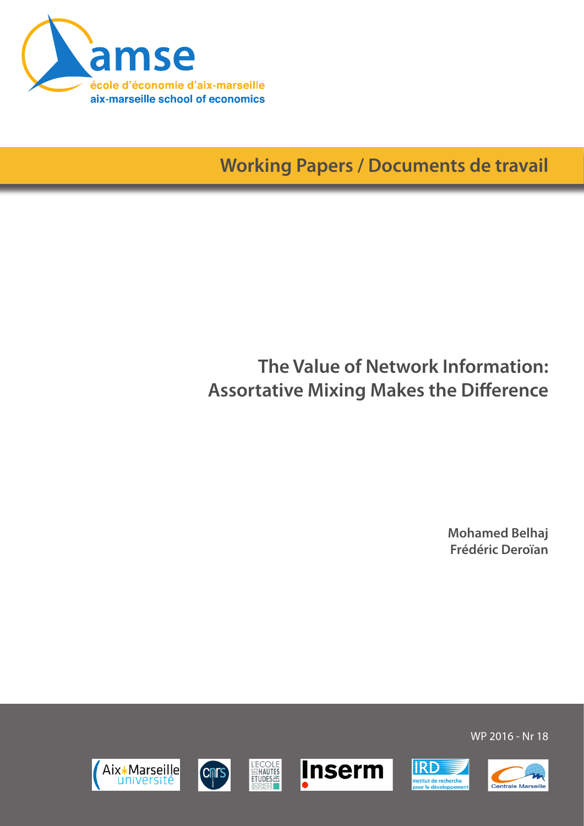

**Working Papers / Documents de travail**

# **The Value of Network Information: Assortative Mixing Makes the Difference**

**Mohamed Belhaj Frédéric Deroïan**













WP 2016 - Nr 18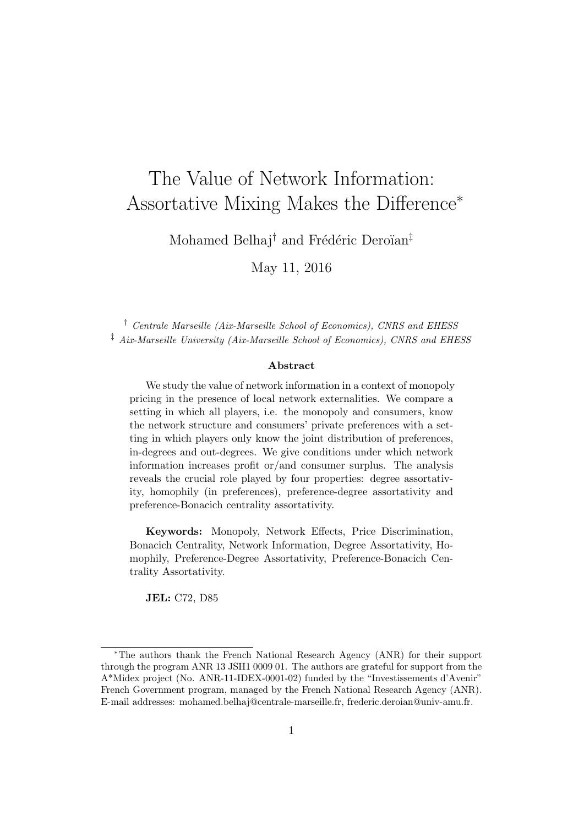# The Value of Network Information: Assortative Mixing Makes the Difference<sup>∗</sup>

Mohamed Belhaj<sup>†</sup> and Frédéric Deroïan<sup>‡</sup>

May 11, 2016

† Centrale Marseille (Aix-Marseille School of Economics), CNRS and EHESS ‡ Aix-Marseille University (Aix-Marseille School of Economics), CNRS and EHESS

#### Abstract

We study the value of network information in a context of monopoly pricing in the presence of local network externalities. We compare a setting in which all players, i.e. the monopoly and consumers, know the network structure and consumers' private preferences with a setting in which players only know the joint distribution of preferences, in-degrees and out-degrees. We give conditions under which network information increases profit or/and consumer surplus. The analysis reveals the crucial role played by four properties: degree assortativity, homophily (in preferences), preference-degree assortativity and preference-Bonacich centrality assortativity.

Keywords: Monopoly, Network Effects, Price Discrimination, Bonacich Centrality, Network Information, Degree Assortativity, Homophily, Preference-Degree Assortativity, Preference-Bonacich Centrality Assortativity.

JEL: C72, D85

<sup>∗</sup>The authors thank the French National Research Agency (ANR) for their support through the program ANR 13 JSH1 0009 01. The authors are grateful for support from the A\*Midex project (No. ANR-11-IDEX-0001-02) funded by the "Investissements d'Avenir" French Government program, managed by the French National Research Agency (ANR). E-mail addresses: mohamed.belhaj@centrale-marseille.fr, frederic.deroian@univ-amu.fr.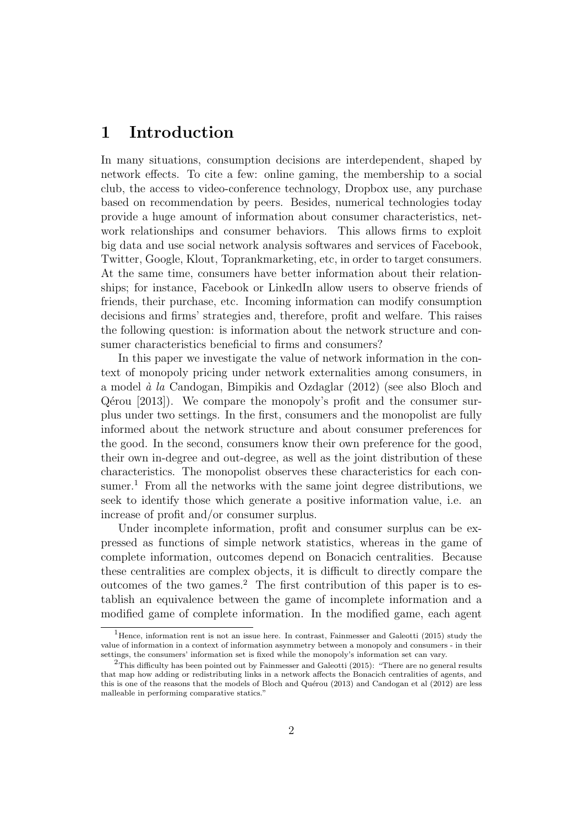# 1 Introduction

In many situations, consumption decisions are interdependent, shaped by network effects. To cite a few: online gaming, the membership to a social club, the access to video-conference technology, Dropbox use, any purchase based on recommendation by peers. Besides, numerical technologies today provide a huge amount of information about consumer characteristics, network relationships and consumer behaviors. This allows firms to exploit big data and use social network analysis softwares and services of Facebook, Twitter, Google, Klout, Toprankmarketing, etc, in order to target consumers. At the same time, consumers have better information about their relationships; for instance, Facebook or LinkedIn allow users to observe friends of friends, their purchase, etc. Incoming information can modify consumption decisions and firms' strategies and, therefore, profit and welfare. This raises the following question: is information about the network structure and consumer characteristics beneficial to firms and consumers?

In this paper we investigate the value of network information in the context of monopoly pricing under network externalities among consumers, in a model  $\dot{a}$  la Candogan, Bimpikis and Ozdaglar (2012) (see also Bloch and  $Qérou$  [2013]). We compare the monopoly's profit and the consumer surplus under two settings. In the first, consumers and the monopolist are fully informed about the network structure and about consumer preferences for the good. In the second, consumers know their own preference for the good, their own in-degree and out-degree, as well as the joint distribution of these characteristics. The monopolist observes these characteristics for each consumer.<sup>1</sup> From all the networks with the same joint degree distributions, we seek to identify those which generate a positive information value, i.e. an increase of profit and/or consumer surplus.

Under incomplete information, profit and consumer surplus can be expressed as functions of simple network statistics, whereas in the game of complete information, outcomes depend on Bonacich centralities. Because these centralities are complex objects, it is difficult to directly compare the outcomes of the two games.<sup>2</sup> The first contribution of this paper is to establish an equivalence between the game of incomplete information and a modified game of complete information. In the modified game, each agent

<sup>&</sup>lt;sup>1</sup>Hence, information rent is not an issue here. In contrast, Fainmesser and Galeotti (2015) study the value of information in a context of information asymmetry between a monopoly and consumers - in their settings, the consumers' information set is fixed while the monopoly's information set can vary.

<sup>&</sup>lt;sup>2</sup>This difficulty has been pointed out by Fainmesser and Galeotti (2015): "There are no general results that map how adding or redistributing links in a network affects the Bonacich centralities of agents, and this is one of the reasons that the models of Bloch and Quérou (2013) and Candogan et al  $(2012)$  are less malleable in performing comparative statics."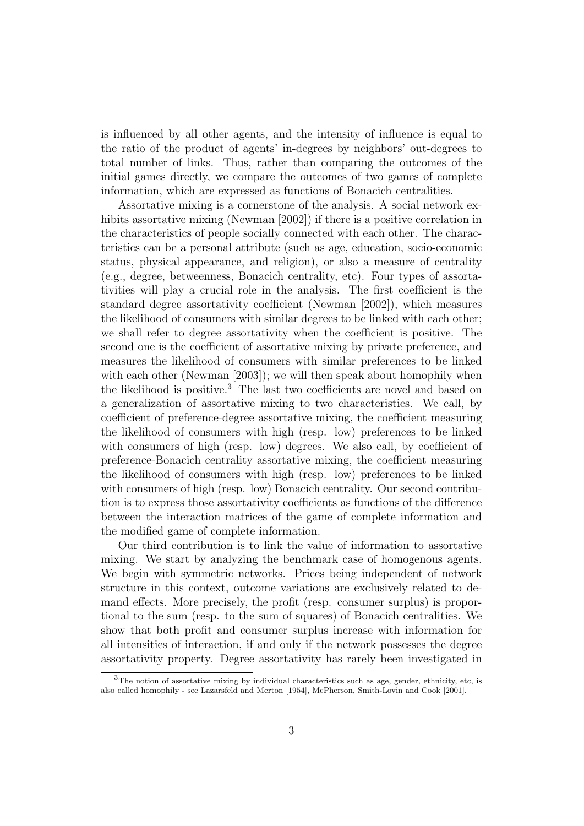is influenced by all other agents, and the intensity of influence is equal to the ratio of the product of agents' in-degrees by neighbors' out-degrees to total number of links. Thus, rather than comparing the outcomes of the initial games directly, we compare the outcomes of two games of complete information, which are expressed as functions of Bonacich centralities.

Assortative mixing is a cornerstone of the analysis. A social network exhibits assortative mixing (Newman [2002]) if there is a positive correlation in the characteristics of people socially connected with each other. The characteristics can be a personal attribute (such as age, education, socio-economic status, physical appearance, and religion), or also a measure of centrality (e.g., degree, betweenness, Bonacich centrality, etc). Four types of assortativities will play a crucial role in the analysis. The first coefficient is the standard degree assortativity coefficient (Newman [2002]), which measures the likelihood of consumers with similar degrees to be linked with each other; we shall refer to degree assortativity when the coefficient is positive. The second one is the coefficient of assortative mixing by private preference, and measures the likelihood of consumers with similar preferences to be linked with each other (Newman [2003]); we will then speak about homophily when the likelihood is positive.<sup>3</sup> The last two coefficients are novel and based on a generalization of assortative mixing to two characteristics. We call, by coefficient of preference-degree assortative mixing, the coefficient measuring the likelihood of consumers with high (resp. low) preferences to be linked with consumers of high (resp. low) degrees. We also call, by coefficient of preference-Bonacich centrality assortative mixing, the coefficient measuring the likelihood of consumers with high (resp. low) preferences to be linked with consumers of high (resp. low) Bonacich centrality. Our second contribution is to express those assortativity coefficients as functions of the difference between the interaction matrices of the game of complete information and the modified game of complete information.

Our third contribution is to link the value of information to assortative mixing. We start by analyzing the benchmark case of homogenous agents. We begin with symmetric networks. Prices being independent of network structure in this context, outcome variations are exclusively related to demand effects. More precisely, the profit (resp. consumer surplus) is proportional to the sum (resp. to the sum of squares) of Bonacich centralities. We show that both profit and consumer surplus increase with information for all intensities of interaction, if and only if the network possesses the degree assortativity property. Degree assortativity has rarely been investigated in

 $3$ The notion of assortative mixing by individual characteristics such as age, gender, ethnicity, etc, is also called homophily - see Lazarsfeld and Merton [1954], McPherson, Smith-Lovin and Cook [2001].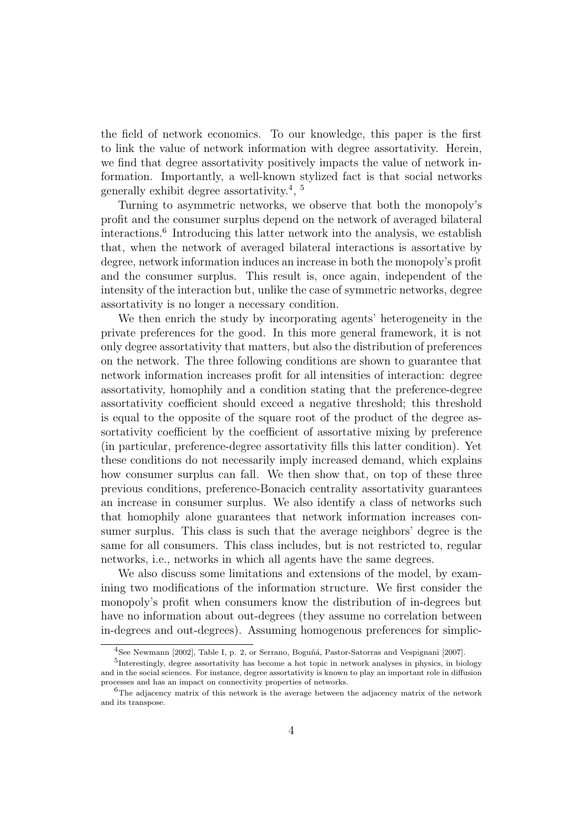the field of network economics. To our knowledge, this paper is the first to link the value of network information with degree assortativity. Herein, we find that degree assortativity positively impacts the value of network information. Importantly, a well-known stylized fact is that social networks generally exhibit degree assortativity.<sup>4</sup>,  $^{5}$ 

Turning to asymmetric networks, we observe that both the monopoly's profit and the consumer surplus depend on the network of averaged bilateral interactions.<sup>6</sup> Introducing this latter network into the analysis, we establish that, when the network of averaged bilateral interactions is assortative by degree, network information induces an increase in both the monopoly's profit and the consumer surplus. This result is, once again, independent of the intensity of the interaction but, unlike the case of symmetric networks, degree assortativity is no longer a necessary condition.

We then enrich the study by incorporating agents' heterogeneity in the private preferences for the good. In this more general framework, it is not only degree assortativity that matters, but also the distribution of preferences on the network. The three following conditions are shown to guarantee that network information increases profit for all intensities of interaction: degree assortativity, homophily and a condition stating that the preference-degree assortativity coefficient should exceed a negative threshold; this threshold is equal to the opposite of the square root of the product of the degree assortativity coefficient by the coefficient of assortative mixing by preference (in particular, preference-degree assortativity fills this latter condition). Yet these conditions do not necessarily imply increased demand, which explains how consumer surplus can fall. We then show that, on top of these three previous conditions, preference-Bonacich centrality assortativity guarantees an increase in consumer surplus. We also identify a class of networks such that homophily alone guarantees that network information increases consumer surplus. This class is such that the average neighbors' degree is the same for all consumers. This class includes, but is not restricted to, regular networks, i.e., networks in which all agents have the same degrees.

We also discuss some limitations and extensions of the model, by examining two modifications of the information structure. We first consider the monopoly's profit when consumers know the distribution of in-degrees but have no information about out-degrees (they assume no correlation between in-degrees and out-degrees). Assuming homogenous preferences for simplic-

<sup>&</sup>lt;sup>4</sup> See Newmann [2002], Table I, p. 2, or Serrano, Boguñá, Pastor-Satorras and Vespignani [2007].

<sup>&</sup>lt;sup>5</sup>Interestingly, degree assortativity has become a hot topic in network analyses in physics, in biology and in the social sciences. For instance, degree assortativity is known to play an important role in diffusion processes and has an impact on connectivity properties of networks.

<sup>6</sup>The adjacency matrix of this network is the average between the adjacency matrix of the network and its transpose.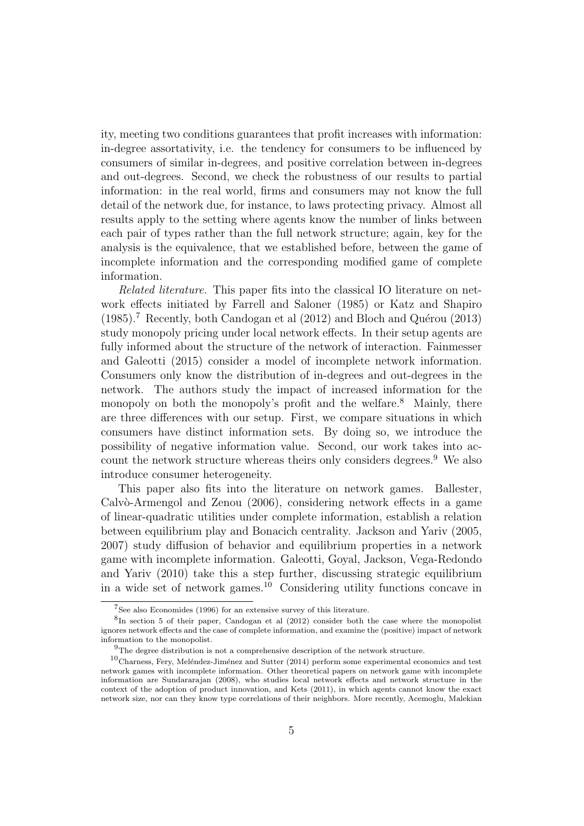ity, meeting two conditions guarantees that profit increases with information: in-degree assortativity, i.e. the tendency for consumers to be influenced by consumers of similar in-degrees, and positive correlation between in-degrees and out-degrees. Second, we check the robustness of our results to partial information: in the real world, firms and consumers may not know the full detail of the network due, for instance, to laws protecting privacy. Almost all results apply to the setting where agents know the number of links between each pair of types rather than the full network structure; again, key for the analysis is the equivalence, that we established before, between the game of incomplete information and the corresponding modified game of complete information.

Related literature. This paper fits into the classical IO literature on network effects initiated by Farrell and Saloner (1985) or Katz and Shapiro  $(1985).$ <sup>7</sup> Recently, both Candogan et al  $(2012)$  and Bloch and Quérou  $(2013)$ study monopoly pricing under local network effects. In their setup agents are fully informed about the structure of the network of interaction. Fainmesser and Galeotti (2015) consider a model of incomplete network information. Consumers only know the distribution of in-degrees and out-degrees in the network. The authors study the impact of increased information for the monopoly on both the monopoly's profit and the welfare.<sup>8</sup> Mainly, there are three differences with our setup. First, we compare situations in which consumers have distinct information sets. By doing so, we introduce the possibility of negative information value. Second, our work takes into account the network structure whereas theirs only considers degrees.<sup>9</sup> We also introduce consumer heterogeneity.

This paper also fits into the literature on network games. Ballester, Calv $\ddot{\text{o}}$ -Armengol and Zenou (2006), considering network effects in a game of linear-quadratic utilities under complete information, establish a relation between equilibrium play and Bonacich centrality. Jackson and Yariv (2005, 2007) study diffusion of behavior and equilibrium properties in a network game with incomplete information. Galeotti, Goyal, Jackson, Vega-Redondo and Yariv (2010) take this a step further, discussing strategic equilibrium in a wide set of network games.<sup>10</sup> Considering utility functions concave in

<sup>7</sup> See also Economides (1996) for an extensive survey of this literature.

<sup>&</sup>lt;sup>8</sup>In section 5 of their paper, Candogan et al (2012) consider both the case where the monopolist ignores network effects and the case of complete information, and examine the (positive) impact of network information to the monopolist.

 $9$ The degree distribution is not a comprehensive description of the network structure.

 $10$ Charness, Fery, Meléndez-Jiménez and Sutter (2014) perform some experimental economics and test network games with incomplete information. Other theoretical papers on network game with incomplete information are Sundararajan (2008), who studies local network effects and network structure in the context of the adoption of product innovation, and Kets (2011), in which agents cannot know the exact network size, nor can they know type correlations of their neighbors. More recently, Acemoglu, Malekian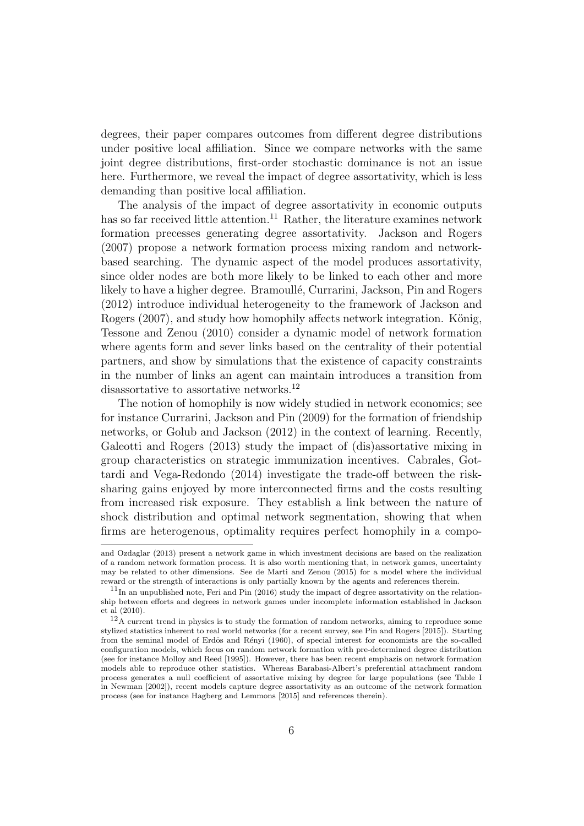degrees, their paper compares outcomes from different degree distributions under positive local affiliation. Since we compare networks with the same joint degree distributions, first-order stochastic dominance is not an issue here. Furthermore, we reveal the impact of degree assortativity, which is less demanding than positive local affiliation.

The analysis of the impact of degree assortativity in economic outputs has so far received little attention.<sup>11</sup> Rather, the literature examines network formation precesses generating degree assortativity. Jackson and Rogers (2007) propose a network formation process mixing random and networkbased searching. The dynamic aspect of the model produces assortativity, since older nodes are both more likely to be linked to each other and more likely to have a higher degree. Bramoullé, Currarini, Jackson, Pin and Rogers (2012) introduce individual heterogeneity to the framework of Jackson and Rogers (2007), and study how homophily affects network integration. König, Tessone and Zenou (2010) consider a dynamic model of network formation where agents form and sever links based on the centrality of their potential partners, and show by simulations that the existence of capacity constraints in the number of links an agent can maintain introduces a transition from disassortative to assortative networks.<sup>12</sup>

The notion of homophily is now widely studied in network economics; see for instance Currarini, Jackson and Pin (2009) for the formation of friendship networks, or Golub and Jackson (2012) in the context of learning. Recently, Galeotti and Rogers (2013) study the impact of (dis)assortative mixing in group characteristics on strategic immunization incentives. Cabrales, Gottardi and Vega-Redondo (2014) investigate the trade-off between the risksharing gains enjoyed by more interconnected firms and the costs resulting from increased risk exposure. They establish a link between the nature of shock distribution and optimal network segmentation, showing that when firms are heterogenous, optimality requires perfect homophily in a compo-

and Ozdaglar (2013) present a network game in which investment decisions are based on the realization of a random network formation process. It is also worth mentioning that, in network games, uncertainty may be related to other dimensions. See de Marti and Zenou (2015) for a model where the individual reward or the strength of interactions is only partially known by the agents and references therein.

 $11$ In an unpublished note, Feri and Pin (2016) study the impact of degree assortativity on the relationship between efforts and degrees in network games under incomplete information established in Jackson et al (2010).

 $12\text{\AA}$  current trend in physics is to study the formation of random networks, aiming to reproduce some stylized statistics inherent to real world networks (for a recent survey, see Pin and Rogers [2015]). Starting from the seminal model of Erdös and Rényi (1960), of special interest for economists are the so-called configuration models, which focus on random network formation with pre-determined degree distribution (see for instance Molloy and Reed [1995]). However, there has been recent emphazis on network formation models able to reproduce other statistics. Whereas Barabasi-Albert's preferential attachment random process generates a null coefficient of assortative mixing by degree for large populations (see Table I in Newman [2002]), recent models capture degree assortativity as an outcome of the network formation process (see for instance Hagberg and Lemmons [2015] and references therein).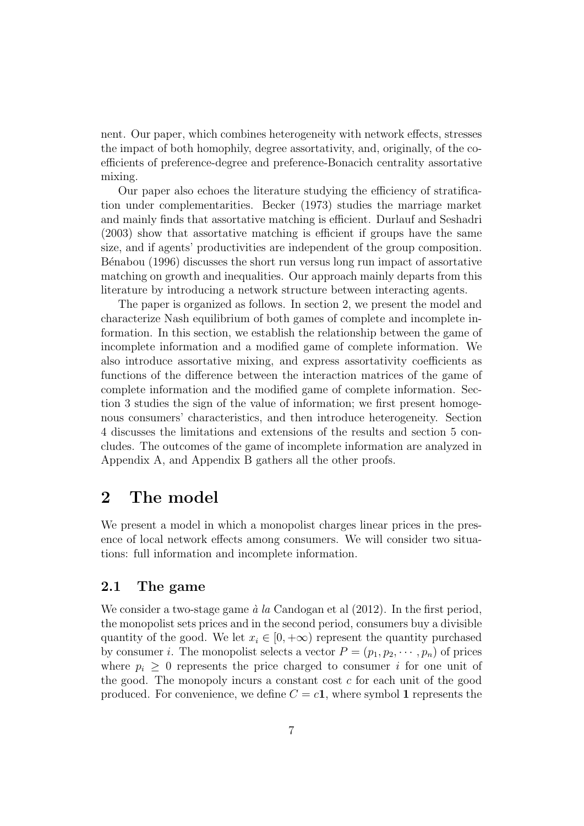nent. Our paper, which combines heterogeneity with network effects, stresses the impact of both homophily, degree assortativity, and, originally, of the coefficients of preference-degree and preference-Bonacich centrality assortative mixing.

Our paper also echoes the literature studying the efficiency of stratification under complementarities. Becker (1973) studies the marriage market and mainly finds that assortative matching is efficient. Durlauf and Seshadri (2003) show that assortative matching is efficient if groups have the same size, and if agents' productivities are independent of the group composition. Bénabou (1996) discusses the short run versus long run impact of assortative matching on growth and inequalities. Our approach mainly departs from this literature by introducing a network structure between interacting agents.

The paper is organized as follows. In section 2, we present the model and characterize Nash equilibrium of both games of complete and incomplete information. In this section, we establish the relationship between the game of incomplete information and a modified game of complete information. We also introduce assortative mixing, and express assortativity coefficients as functions of the difference between the interaction matrices of the game of complete information and the modified game of complete information. Section 3 studies the sign of the value of information; we first present homogenous consumers' characteristics, and then introduce heterogeneity. Section 4 discusses the limitations and extensions of the results and section 5 concludes. The outcomes of the game of incomplete information are analyzed in Appendix A, and Appendix B gathers all the other proofs.

## 2 The model

We present a model in which a monopolist charges linear prices in the presence of local network effects among consumers. We will consider two situations: full information and incomplete information.

## 2.1 The game

We consider a two-stage game  $\dot{a}$  la Candogan et al (2012). In the first period, the monopolist sets prices and in the second period, consumers buy a divisible quantity of the good. We let  $x_i \in [0, +\infty)$  represent the quantity purchased by consumer *i*. The monopolist selects a vector  $P = (p_1, p_2, \dots, p_n)$  of prices where  $p_i \geq 0$  represents the price charged to consumer i for one unit of the good. The monopoly incurs a constant cost  $c$  for each unit of the good produced. For convenience, we define  $C = c1$ , where symbol 1 represents the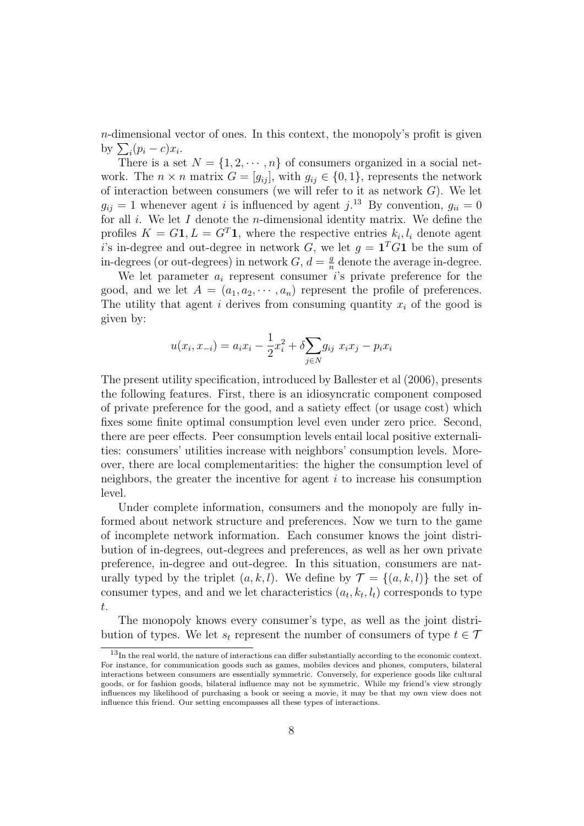$n$ -dimensional vector of ones. In this context, the monopoly's profit is given by  $\sum_i (p_i - c)x_i$ .

There is a set  $N = \{1, 2, \dots, n\}$  of consumers organized in a social network. The  $n \times n$  matrix  $G = [g_{ij}]$ , with  $g_{ij} \in \{0, 1\}$ , represents the network of interaction between consumers (we will refer to it as network  $G$ ). We let  $g_{ij} = 1$  whenever agent i is influenced by agent j.<sup>13</sup> By convention,  $g_{ii} = 0$ for all  $i$ . We let  $I$  denote the *n*-dimensional identity matrix. We define the profiles  $K = G1, L = G<sup>T</sup>1$ , where the respective entries  $k_i, l_i$  denote agent i's in-degree and out-degree in network G, we let  $g = \mathbf{1}^T G \mathbf{1}$  be the sum of in-degrees (or out-degrees) in network  $G, d = \frac{g}{n}$  $\frac{g}{n}$  denote the average in-degree.

We let parameter  $a_i$  represent consumer is private preference for the good, and we let  $A = (a_1, a_2, \dots, a_n)$  represent the profile of preferences. The utility that agent i derives from consuming quantity  $x_i$  of the good is given by:

$$
u(x_i, x_{-i}) = a_i x_i - \frac{1}{2} x_i^2 + \delta \sum_{j \in N} g_{ij} x_i x_j - p_i x_i
$$

The present utility specification, introduced by Ballester et al (2006), presents the following features. First, there is an idiosyncratic component composed of private preference for the good, and a satiety effect (or usage cost) which fixes some finite optimal consumption level even under zero price. Second, there are peer effects. Peer consumption levels entail local positive externalities: consumers' utilities increase with neighbors' consumption levels. Moreover, there are local complementarities: the higher the consumption level of neighbors, the greater the incentive for agent  $i$  to increase his consumption level.

Under complete information, consumers and the monopoly are fully informed about network structure and preferences. Now we turn to the game of incomplete network information. Each consumer knows the joint distribution of in-degrees, out-degrees and preferences, as well as her own private preference, in-degree and out-degree. In this situation, consumers are naturally typed by the triplet  $(a, k, l)$ . We define by  $\mathcal{T} = \{(a, k, l)\}\)$  the set of consumer types, and and we let characteristics  $(a_t, k_t, l_t)$  corresponds to type t.

The monopoly knows every consumer's type, as well as the joint distribution of types. We let  $s_t$  represent the number of consumers of type  $t \in \mathcal{T}$ 

 $13$ In the real world, the nature of interactions can differ substantially according to the economic context. For instance, for communication goods such as games, mobiles devices and phones, computers, bilateral interactions between consumers are essentially symmetric. Conversely, for experience goods like cultural goods, or for fashion goods, bilateral influence may not be symmetric. While my friend's view strongly influences my likelihood of purchasing a book or seeing a movie, it may be that my own view does not influence this friend. Our setting encompasses all these types of interactions.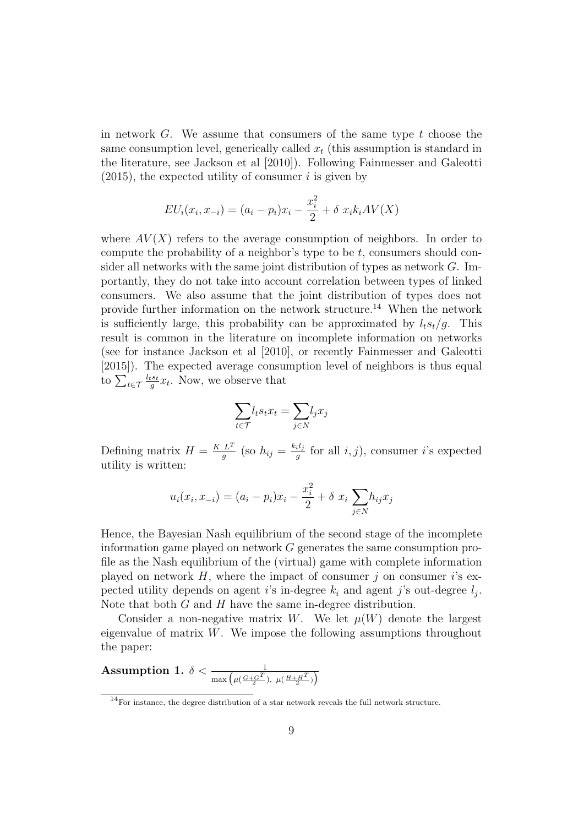in network  $G$ . We assume that consumers of the same type  $t$  choose the same consumption level, generically called  $x_t$  (this assumption is standard in the literature, see Jackson et al [2010]). Following Fainmesser and Galeotti  $(2015)$ , the expected utility of consumer *i* is given by

$$
EU_i(x_i, x_{-i}) = (a_i - p_i)x_i - \frac{x_i^2}{2} + \delta x_i k_i AV(X)
$$

where  $AV(X)$  refers to the average consumption of neighbors. In order to compute the probability of a neighbor's type to be t, consumers should consider all networks with the same joint distribution of types as network  $G$ . Importantly, they do not take into account correlation between types of linked consumers. We also assume that the joint distribution of types does not provide further information on the network structure.<sup>14</sup> When the network is sufficiently large, this probability can be approximated by  $l_t s_t/q$ . This result is common in the literature on incomplete information on networks (see for instance Jackson et al [2010], or recently Fainmesser and Galeotti [2015]). The expected average consumption level of neighbors is thus equal to  $\sum_{t\in\mathcal{T}}\frac{l_{t}s_{t}}{g}$  $\frac{e^{i s} t}{g} x_t$ . Now, we observe that

$$
\sum_{t \in \mathcal{T}} l_t s_t x_t = \sum_{j \in N} l_j x_j
$$

Defining matrix  $H = \frac{K L^T}{a}$  $rac{L^T}{g}$  (so  $h_{ij} = \frac{k_i l_j}{g}$  $\frac{i}{g}$  for all  $i, j$ , consumer i's expected utility is written:

$$
u_i(x_i, x_{-i}) = (a_i - p_i)x_i - \frac{x_i^2}{2} + \delta x_i \sum_{j \in N} h_{ij} x_j
$$

Hence, the Bayesian Nash equilibrium of the second stage of the incomplete information game played on network G generates the same consumption profile as the Nash equilibrium of the (virtual) game with complete information played on network  $H$ , where the impact of consumer j on consumer i's expected utility depends on agent *i*'s in-degree  $k_i$  and agent *j*'s out-degree  $l_j$ . Note that both  $G$  and  $H$  have the same in-degree distribution.

Consider a non-negative matrix W. We let  $\mu(W)$  denote the largest eigenvalue of matrix  $W$ . We impose the following assumptions throughout the paper:

Assumption 1. 
$$
\delta < \frac{1}{\max\left(\mu(\frac{G+G^T}{2}), \ \mu(\frac{H+H^T}{2})\right)}
$$

 $14$ For instance, the degree distribution of a star network reveals the full network structure.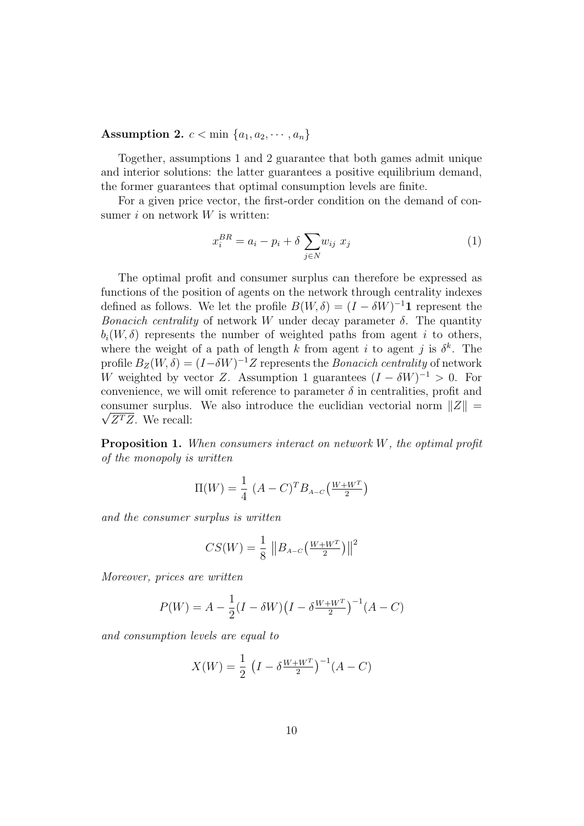Assumption 2.  $c < \min \{a_1, a_2, \cdots, a_n\}$ 

Together, assumptions 1 and 2 guarantee that both games admit unique and interior solutions: the latter guarantees a positive equilibrium demand, the former guarantees that optimal consumption levels are finite.

For a given price vector, the first-order condition on the demand of consumer  $i$  on network  $W$  is written:

$$
x_i^{BR} = a_i - p_i + \delta \sum_{j \in N} w_{ij} \ x_j \tag{1}
$$

The optimal profit and consumer surplus can therefore be expressed as functions of the position of agents on the network through centrality indexes defined as follows. We let the profile  $B(W, \delta) = (I - \delta W)^{-1}$  1 represent the Bonacich centrality of network W under decay parameter  $\delta$ . The quantity  $b_i(W, \delta)$  represents the number of weighted paths from agent i to others, where the weight of a path of length k from agent i to agent j is  $\delta^k$ . The profile  $B_Z(W, \delta) = (I - \delta W)^{-1} Z$  represents the *Bonacich centrality* of network W weighted by vector Z. Assumption 1 guarantees  $(I - \delta W)^{-1} > 0$ . For convenience, we will omit reference to parameter  $\delta$  in centralities, profit and consumer surplus. We also introduce the euclidian vectorial norm  $||Z|| =$  $\sqrt{Z^TZ}$ . We recall:

Proposition 1. When consumers interact on network W, the optimal profit of the monopoly is written

$$
\Pi(W) = \frac{1}{4} (A - C)^{T} B_{A - C} \left( \frac{W + W^{T}}{2} \right)
$$

and the consumer surplus is written

$$
CS(W) = \frac{1}{8} \|B_{A-C}\left(\frac{W+W^T}{2}\right)\|^2
$$

Moreover, prices are written

$$
P(W) = A - \frac{1}{2}(I - \delta W)\left(I - \delta \frac{W + W^{T}}{2}\right)^{-1}(A - C)
$$

and consumption levels are equal to

$$
X(W) = \frac{1}{2} \left( I - \delta \frac{W + W^{T}}{2} \right)^{-1} (A - C)
$$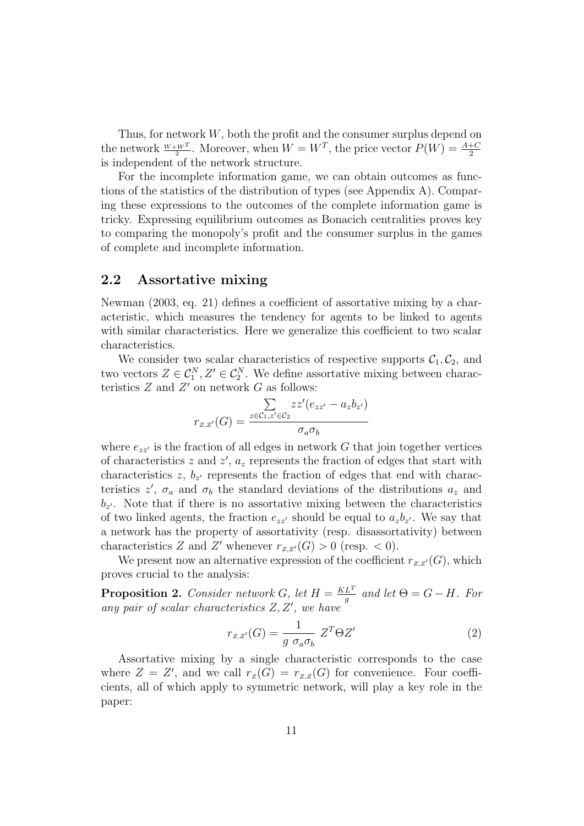Thus, for network W, both the profit and the consumer surplus depend on the network  $\frac{W+W^T}{2}$ . Moreover, when  $W=W^T$ , the price vector  $P(W) = \frac{A+C}{2}$ is independent of the network structure.

For the incomplete information game, we can obtain outcomes as functions of the statistics of the distribution of types (see Appendix A). Comparing these expressions to the outcomes of the complete information game is tricky. Expressing equilibrium outcomes as Bonacich centralities proves key to comparing the monopoly's profit and the consumer surplus in the games of complete and incomplete information.

## 2.2 Assortative mixing

Newman (2003, eq. 21) defines a coefficient of assortative mixing by a characteristic, which measures the tendency for agents to be linked to agents with similar characteristics. Here we generalize this coefficient to two scalar characteristics.

We consider two scalar characteristics of respective supports  $C_1, C_2$ , and two vectors  $Z \in \mathcal{C}_1^N, Z' \in \mathcal{C}_2^N$ . We define assortative mixing between characteristics  $Z$  and  $Z'$  on network  $G$  as follows:

$$
r_{z,z'}(G) = \frac{\sum\limits_{z \in \mathcal{C}_1, z' \in \mathcal{C}_2} z z'(e_{zz'} - a_z b_{z'})}{\sigma_a \sigma_b}
$$

where  $e_{zz}$  is the fraction of all edges in network G that join together vertices of characteristics z and  $z'$ ,  $a_z$  represents the fraction of edges that start with characteristics  $z, b_{z'}$  represents the fraction of edges that end with characteristics  $z'$ ,  $\sigma_a$  and  $\sigma_b$  the standard deviations of the distributions  $a_z$  and  $b_{z'}$ . Note that if there is no assortative mixing between the characteristics of two linked agents, the fraction  $e_{zz'}$  should be equal to  $a_zb_{z'}$ . We say that a network has the property of assortativity (resp. disassortativity) between characteristics Z and Z' whenever  $r_{Z,Z'}(G) > 0$  (resp. < 0).

We present now an alternative expression of the coefficient  $r_{z,z'}(G)$ , which proves crucial to the analysis:

**Proposition 2.** Consider network G, let  $H = \frac{KL^{T}}{a}$  $\frac{L^2}{g}$  and let  $\Theta = G - H$ . For any pair of scalar characteristics  $Z, Z'$ , we have

$$
r_{z,z'}(G) = \frac{1}{g \sigma_a \sigma_b} Z^T \Theta Z'
$$
 (2)

Assortative mixing by a single characteristic corresponds to the case where  $Z = Z'$ , and we call  $r_Z(G) = r_{Z,Z}(G)$  for convenience. Four coefficients, all of which apply to symmetric network, will play a key role in the paper: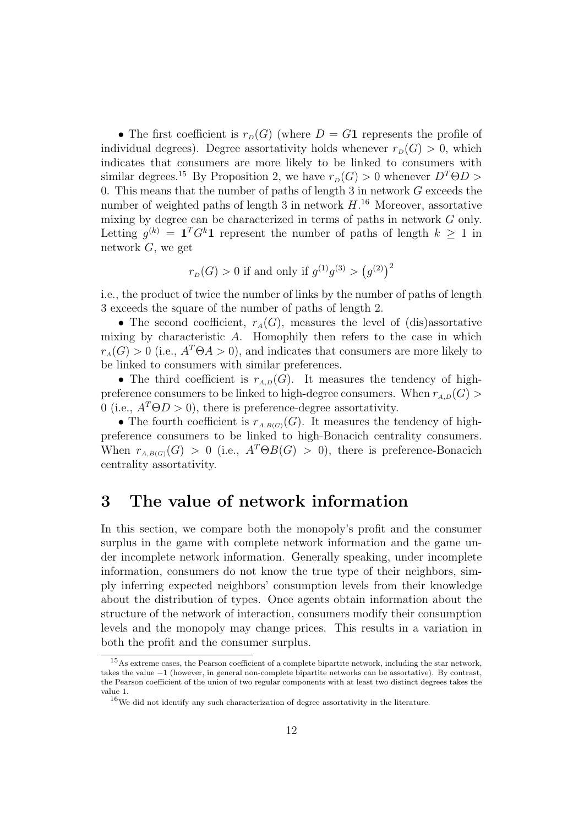• The first coefficient is  $r_D(G)$  (where  $D = G1$  represents the profile of individual degrees). Degree assortativity holds whenever  $r_p(G) > 0$ , which indicates that consumers are more likely to be linked to consumers with similar degrees.<sup>15</sup> By Proposition 2, we have  $r_p(G) > 0$  whenever  $D^T\Theta D > 0$ 0. This means that the number of paths of length  $3$  in network  $G$  exceeds the number of weighted paths of length 3 in network  $H^{16}$ . Moreover, assortative mixing by degree can be characterized in terms of paths in network G only. Letting  $g^{(k)} = \mathbf{1}^T G^k \mathbf{1}$  represent the number of paths of length  $k \geq 1$  in network  $G$ , we get

$$
r_D(G) > 0
$$
 if and only if  $g^{(1)}g^{(3)} > (g^{(2)})^2$ 

i.e., the product of twice the number of links by the number of paths of length 3 exceeds the square of the number of paths of length 2.

• The second coefficient,  $r_A(G)$ , measures the level of (dis)assortative mixing by characteristic A. Homophily then refers to the case in which  $r_A(G) > 0$  (i.e.,  $A^T \Theta A > 0$ ), and indicates that consumers are more likely to be linked to consumers with similar preferences.

• The third coefficient is  $r_{A,D}(G)$ . It measures the tendency of highpreference consumers to be linked to high-degree consumers. When  $r_{A,D}(G)$ 0 (i.e.,  $A^T \Theta D > 0$ ), there is preference-degree assortativity.

• The fourth coefficient is  $r_{A,B(G)}(G)$ . It measures the tendency of highpreference consumers to be linked to high-Bonacich centrality consumers. When  $r_{A,B(G)}(G) > 0$  (i.e.,  $A^T \Theta B(G) > 0$ ), there is preference-Bonacich centrality assortativity.

## 3 The value of network information

In this section, we compare both the monopoly's profit and the consumer surplus in the game with complete network information and the game under incomplete network information. Generally speaking, under incomplete information, consumers do not know the true type of their neighbors, simply inferring expected neighbors' consumption levels from their knowledge about the distribution of types. Once agents obtain information about the structure of the network of interaction, consumers modify their consumption levels and the monopoly may change prices. This results in a variation in both the profit and the consumer surplus.

<sup>15</sup>As extreme cases, the Pearson coefficient of a complete bipartite network, including the star network, takes the value −1 (however, in general non-complete bipartite networks can be assortative). By contrast, the Pearson coefficient of the union of two regular components with at least two distinct degrees takes the value 1.

 $^{16}\rm{We}$  did not identify any such characterization of degree assortativity in the literature.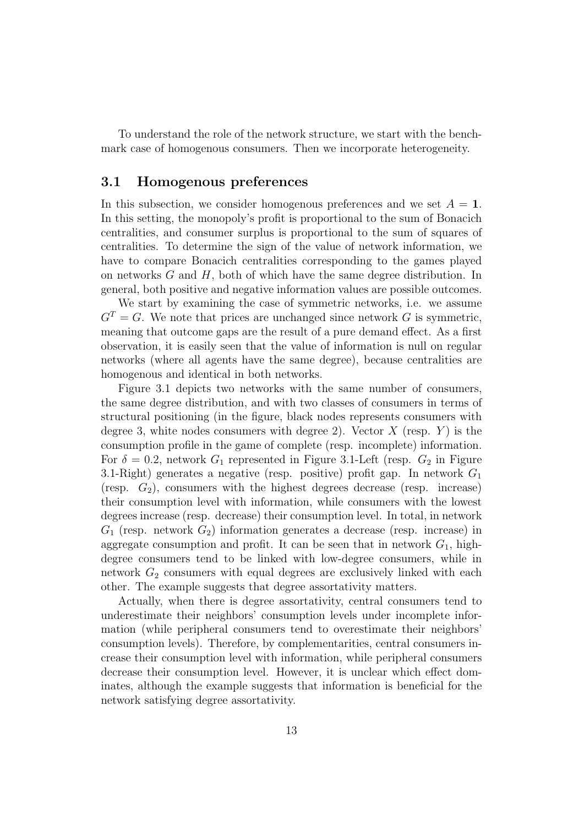To understand the role of the network structure, we start with the benchmark case of homogenous consumers. Then we incorporate heterogeneity.

## 3.1 Homogenous preferences

In this subsection, we consider homogenous preferences and we set  $A = 1$ . In this setting, the monopoly's profit is proportional to the sum of Bonacich centralities, and consumer surplus is proportional to the sum of squares of centralities. To determine the sign of the value of network information, we have to compare Bonacich centralities corresponding to the games played on networks  $G$  and  $H$ , both of which have the same degree distribution. In general, both positive and negative information values are possible outcomes.

We start by examining the case of symmetric networks, i.e. we assume  $G<sup>T</sup> = G$ . We note that prices are unchanged since network G is symmetric, meaning that outcome gaps are the result of a pure demand effect. As a first observation, it is easily seen that the value of information is null on regular networks (where all agents have the same degree), because centralities are homogenous and identical in both networks.

Figure 3.1 depicts two networks with the same number of consumers, the same degree distribution, and with two classes of consumers in terms of structural positioning (in the figure, black nodes represents consumers with degree 3, white nodes consumers with degree 2). Vector  $X$  (resp.  $Y$ ) is the consumption profile in the game of complete (resp. incomplete) information. For  $\delta = 0.2$ , network  $G_1$  represented in Figure 3.1-Left (resp.  $G_2$  in Figure 3.1-Right) generates a negative (resp. positive) profit gap. In network  $G_1$ (resp.  $G_2$ ), consumers with the highest degrees decrease (resp. increase) their consumption level with information, while consumers with the lowest degrees increase (resp. decrease) their consumption level. In total, in network  $G_1$  (resp. network  $G_2$ ) information generates a decrease (resp. increase) in aggregate consumption and profit. It can be seen that in network  $G_1$ , highdegree consumers tend to be linked with low-degree consumers, while in network  $G_2$  consumers with equal degrees are exclusively linked with each other. The example suggests that degree assortativity matters.

Actually, when there is degree assortativity, central consumers tend to underestimate their neighbors' consumption levels under incomplete information (while peripheral consumers tend to overestimate their neighbors' consumption levels). Therefore, by complementarities, central consumers increase their consumption level with information, while peripheral consumers decrease their consumption level. However, it is unclear which effect dominates, although the example suggests that information is beneficial for the network satisfying degree assortativity.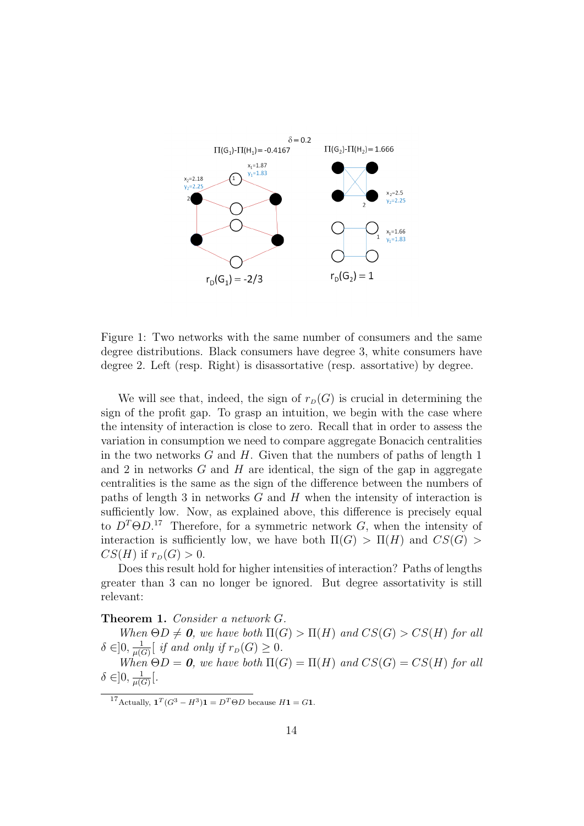

Figure 1: Two networks with the same number of consumers and the same degree distributions. Black consumers have degree 3, white consumers have degree 2. Left (resp. Right) is disassortative (resp. assortative) by degree.

We will see that, indeed, the sign of  $r_D(G)$  is crucial in determining the sign of the profit gap. To grasp an intuition, we begin with the case where the intensity of interaction is close to zero. Recall that in order to assess the variation in consumption we need to compare aggregate Bonacich centralities in the two networks  $G$  and  $H$ . Given that the numbers of paths of length 1 and 2 in networks  $G$  and  $H$  are identical, the sign of the gap in aggregate centralities is the same as the sign of the difference between the numbers of paths of length  $3$  in networks  $G$  and  $H$  when the intensity of interaction is sufficiently low. Now, as explained above, this difference is precisely equal to  $D^T \Theta D$ <sup>17</sup> Therefore, for a symmetric network G, when the intensity of interaction is sufficiently low, we have both  $\Pi(G) > \Pi(H)$  and  $CS(G)$  $CS(H)$  if  $r_D(G) > 0$ .

Does this result hold for higher intensities of interaction? Paths of lengths greater than 3 can no longer be ignored. But degree assortativity is still relevant:

#### Theorem 1. Consider a network G.

When  $\Theta D \neq 0$ , we have both  $\Pi(G) > \Pi(H)$  and  $CS(G) > CS(H)$  for all  $\delta \in ]0, \frac{1}{\mu(\delta)}$  $\frac{1}{\mu(G)}$  if and only if  $r_D(G) \geq 0$ .

When  $\Theta D = 0$ , we have both  $\Pi(G) = \Pi(H)$  and  $CS(G) = CS(H)$  for all  $\delta \in ]0, \frac{1}{\mu(\delta)}$  $\frac{1}{\mu(G)} \big[$ .

<sup>17</sup>Actually,  $\mathbf{1}^T(G^3 - H^3)\mathbf{1} = D^T\Theta D$  because  $H\mathbf{1} = G\mathbf{1}$ .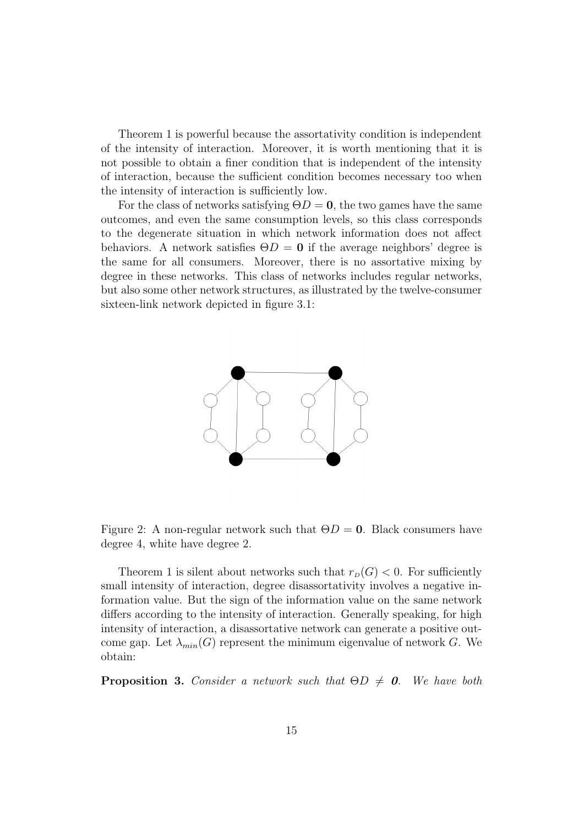Theorem 1 is powerful because the assortativity condition is independent of the intensity of interaction. Moreover, it is worth mentioning that it is not possible to obtain a finer condition that is independent of the intensity of interaction, because the sufficient condition becomes necessary too when the intensity of interaction is sufficiently low.

For the class of networks satisfying  $\Theta D = 0$ , the two games have the same outcomes, and even the same consumption levels, so this class corresponds to the degenerate situation in which network information does not affect behaviors. A network satisfies  $\Theta D = 0$  if the average neighbors' degree is the same for all consumers. Moreover, there is no assortative mixing by degree in these networks. This class of networks includes regular networks, but also some other network structures, as illustrated by the twelve-consumer sixteen-link network depicted in figure 3.1:



Figure 2: A non-regular network such that  $\Theta D = 0$ . Black consumers have degree 4, white have degree 2.

Theorem 1 is silent about networks such that  $r_D(G) < 0$ . For sufficiently small intensity of interaction, degree disassortativity involves a negative information value. But the sign of the information value on the same network differs according to the intensity of interaction. Generally speaking, for high intensity of interaction, a disassortative network can generate a positive outcome gap. Let  $\lambda_{min}(G)$  represent the minimum eigenvalue of network G. We obtain:

**Proposition 3.** Consider a network such that  $\Theta D \neq 0$ . We have both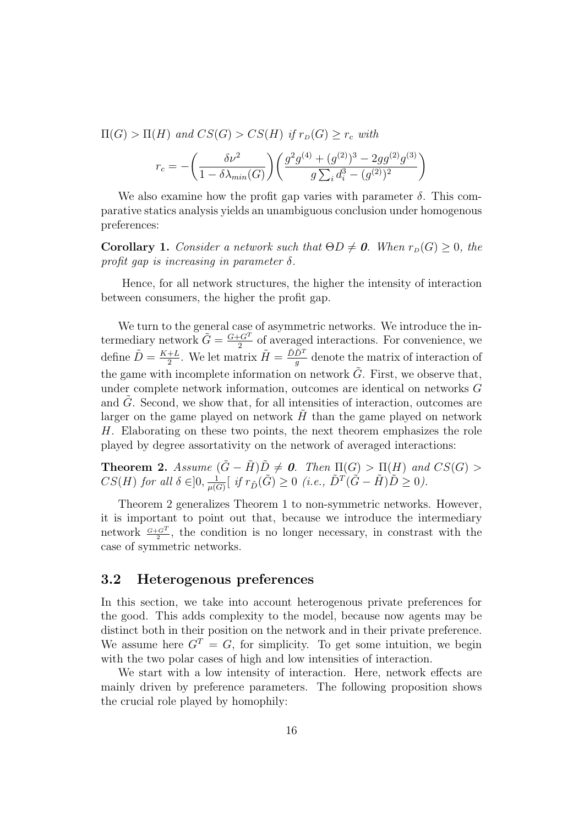$\Pi(G) > \Pi(H)$  and  $CS(G) > CS(H)$  if  $r_D(G) \ge r_c$  with

$$
r_c = -\bigg(\frac{\delta \nu^2}{1-\delta \lambda_{min}(G)}\bigg) \bigg(\frac{g^2 g^{(4)} + (g^{(2)})^3 - 2g g^{(2)} g^{(3)}}{g \sum_i d_i^3 - (g^{(2)})^2}\bigg)
$$

We also examine how the profit gap varies with parameter  $\delta$ . This comparative statics analysis yields an unambiguous conclusion under homogenous preferences:

**Corollary 1.** Consider a network such that  $\Theta D \neq \mathbf{0}$ . When  $r_D(G) \geq 0$ , the profit gap is increasing in parameter  $\delta$ .

Hence, for all network structures, the higher the intensity of interaction between consumers, the higher the profit gap.

We turn to the general case of asymmetric networks. We introduce the intermediary network  $\tilde{G} = \frac{G + G^T}{2}$  $\frac{C}{2}$  of averaged interactions. For convenience, we define  $\tilde{D} = \frac{K+L}{2}$  $\frac{+L}{2}$ . We let matrix  $\tilde{H} = \frac{\tilde{D}\tilde{D}^{T}}{g}$  $\frac{D^2}{g}$  denote the matrix of interaction of the game with incomplete information on network  $\tilde{G}$ . First, we observe that, under complete network information, outcomes are identical on networks G and  $G$ . Second, we show that, for all intensities of interaction, outcomes are larger on the game played on network  $H$  than the game played on network H. Elaborating on these two points, the next theorem emphasizes the role played by degree assortativity on the network of averaged interactions:

**Theorem 2.** Assume  $(\tilde{G} - \tilde{H})\tilde{D} \neq 0$ . Then  $\Pi(G) > \Pi(H)$  and  $CS(G) > 0$  $CS(H)$  for all  $\delta \in ]0, \frac{1}{\mu(\delta)}$  $\frac{1}{\mu(G)}[\; if \; r_{\tilde{D}}(\tilde{G}) \geq 0 \;(i.e.,\; \tilde{D}^T(\tilde{G}-\tilde{H})\tilde{D} \geq 0).$ 

Theorem 2 generalizes Theorem 1 to non-symmetric networks. However, it is important to point out that, because we introduce the intermediary network  $\frac{G+G^{T}}{2}$ , the condition is no longer necessary, in constrast with the case of symmetric networks.

## 3.2 Heterogenous preferences

In this section, we take into account heterogenous private preferences for the good. This adds complexity to the model, because now agents may be distinct both in their position on the network and in their private preference. We assume here  $G<sup>T</sup> = G$ , for simplicity. To get some intuition, we begin with the two polar cases of high and low intensities of interaction.

We start with a low intensity of interaction. Here, network effects are mainly driven by preference parameters. The following proposition shows the crucial role played by homophily: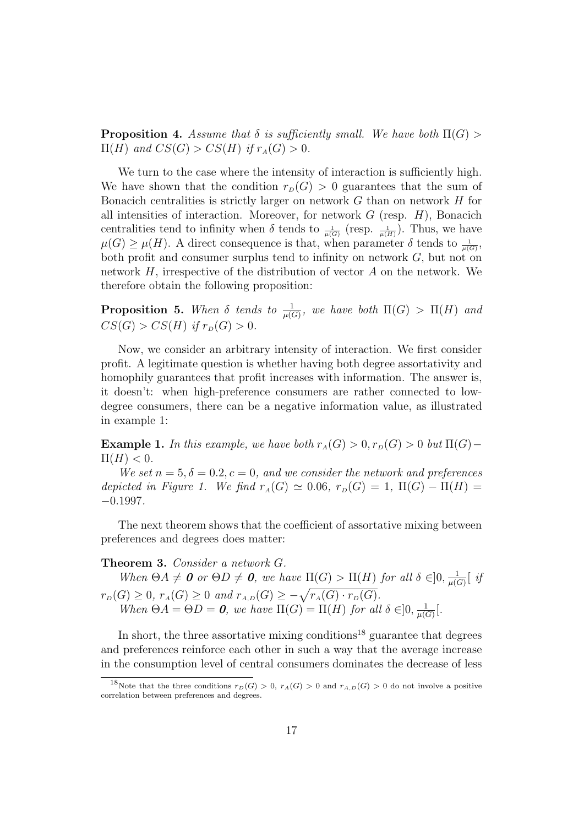**Proposition 4.** Assume that  $\delta$  is sufficiently small. We have both  $\Pi(G)$  $\Pi(H)$  and  $CS(G) > CS(H)$  if  $r_A(G) > 0$ .

We turn to the case where the intensity of interaction is sufficiently high. We have shown that the condition  $r_D(G) > 0$  guarantees that the sum of Bonacich centralities is strictly larger on network  $G$  than on network  $H$  for all intensities of interaction. Moreover, for network  $G$  (resp.  $H$ ), Bonacich centralities tend to infinity when  $\delta$  tends to  $\frac{1}{\mu(G)}$  (resp.  $\frac{1}{\mu(H)}$ ). Thus, we have  $\mu(G) \geq \mu(H)$ . A direct consequence is that, when parameter  $\delta$  tends to  $\frac{1}{\mu(G)}$ , both profit and consumer surplus tend to infinity on network  $G$ , but not on network  $H$ , irrespective of the distribution of vector  $A$  on the network. We therefore obtain the following proposition:

**Proposition 5.** When  $\delta$  tends to  $\frac{1}{\mu(G)}$ , we have both  $\Pi(G) > \Pi(H)$  and  $CS(G) > CS(H)$  if  $r_D(G) > 0$ .

Now, we consider an arbitrary intensity of interaction. We first consider profit. A legitimate question is whether having both degree assortativity and homophily guarantees that profit increases with information. The answer is, it doesn't: when high-preference consumers are rather connected to lowdegree consumers, there can be a negative information value, as illustrated in example 1:

**Example 1.** In this example, we have both  $r_A(G) > 0, r_D(G) > 0$  but  $\Pi(G)$ −  $\Pi(H) < 0.$ 

We set  $n = 5, \delta = 0.2, c = 0$ , and we consider the network and preferences depicted in Figure 1. We find  $r_A(G) \simeq 0.06$ ,  $r_D(G) = 1$ ,  $\Pi(G) - \Pi(H) =$  $-0.1997.$ 

The next theorem shows that the coefficient of assortative mixing between preferences and degrees does matter:

#### Theorem 3. Consider a network G.

When  $\Theta A \neq \mathbf{0}$  or  $\Theta D \neq \mathbf{0}$ , we have  $\Pi(G) > \Pi(H)$  for all  $\delta \in ]0, \frac{1}{\mu(G)}$  $\frac{1}{\mu(G)}$   $\left[$  if  $r_D(G) \geq 0$ ,  $r_A(G) \geq 0$  and  $r_{A,D}(G) \geq -\sqrt{r_A(G) \cdot r_D(G)}$ . When  $\Theta A = \Theta D = \mathbf{0}$ , we have  $\Pi(G) = \Pi(H)$  for all  $\delta \in ]0, \frac{1}{\mu(G)}$  $\frac{1}{\mu(G)} \big[$ .

In short, the three assortative mixing conditions<sup>18</sup> guarantee that degrees and preferences reinforce each other in such a way that the average increase in the consumption level of central consumers dominates the decrease of less

<sup>&</sup>lt;sup>18</sup>Note that the three conditions  $r_D(G) > 0$ ,  $r_A(G) > 0$  and  $r_{A,D}(G) > 0$  do not involve a positive correlation between preferences and degrees.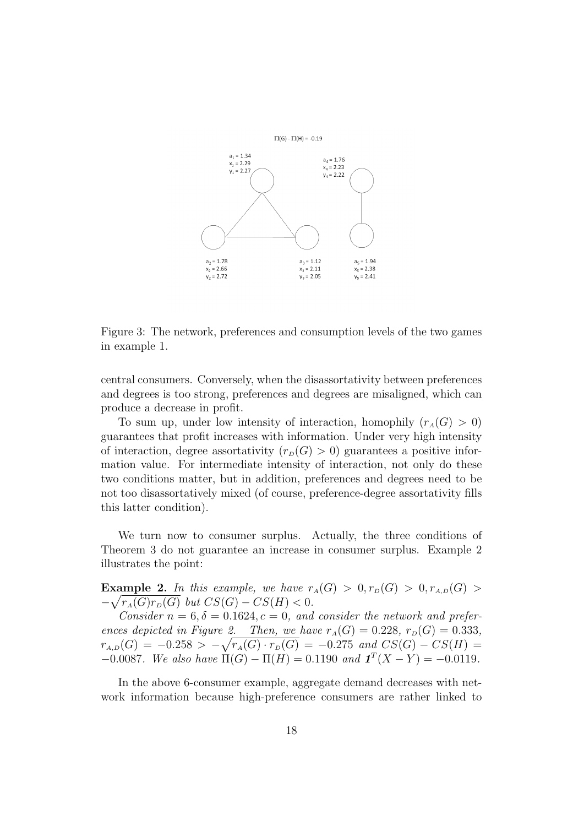

Figure 3: The network, preferences and consumption levels of the two games in example 1.

central consumers. Conversely, when the disassortativity between preferences and degrees is too strong, preferences and degrees are misaligned, which can produce a decrease in profit.

To sum up, under low intensity of interaction, homophily  $(r_A(G) > 0)$ guarantees that profit increases with information. Under very high intensity of interaction, degree assortativity  $(r_D(G) > 0)$  guarantees a positive information value. For intermediate intensity of interaction, not only do these two conditions matter, but in addition, preferences and degrees need to be not too disassortatively mixed (of course, preference-degree assortativity fills this latter condition).

We turn now to consumer surplus. Actually, the three conditions of Theorem 3 do not guarantee an increase in consumer surplus. Example 2 illustrates the point:

Example 2. In this example, we have  $r_A(G) > 0, r_D(G) > 0, r_{A,D}(G) > 0$  $-\sqrt{r_A(G)r_D(G)}$  but  $CS(G) - CS(H) < 0$ .

Consider  $n = 6, \delta = 0.1624, c = 0$ , and consider the network and preferences depicted in Figure 2. Then, we have  $r_A(G) = 0.228$ ,  $r_B(G) = 0.333$ ,  $r_{A,D}(G) = -0.258 > -\sqrt{r_A(G) \cdot r_D(G)} = -0.275$  and  $CS(G) - CS(H) =$  $-0.0087$ . We also have Π(G) – Π(H) = 0.1190 and  $\mathbf{1}^T(X - Y) = -0.0119$ .

In the above 6-consumer example, aggregate demand decreases with network information because high-preference consumers are rather linked to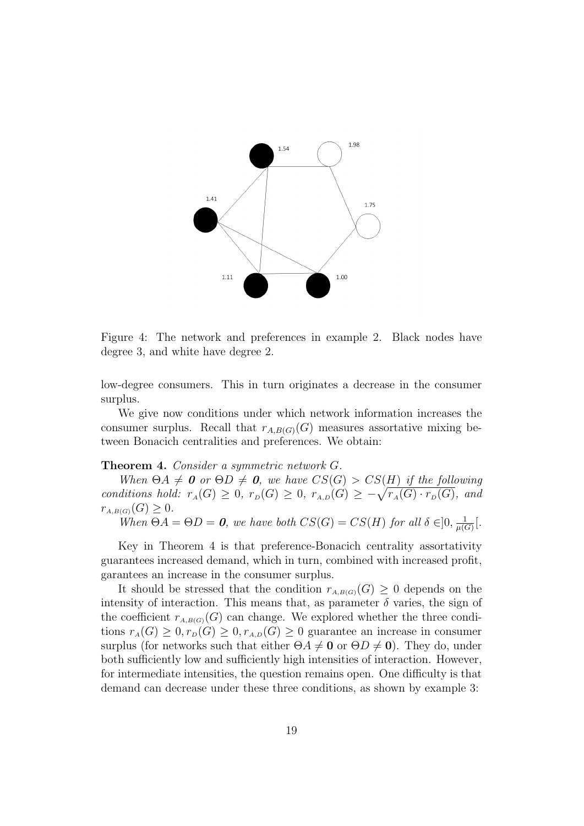

Figure 4: The network and preferences in example 2. Black nodes have degree 3, and white have degree 2.

low-degree consumers. This in turn originates a decrease in the consumer surplus.

We give now conditions under which network information increases the consumer surplus. Recall that  $r_{A,B(G)}(G)$  measures assortative mixing between Bonacich centralities and preferences. We obtain:

#### Theorem 4. Consider a symmetric network G.

When  $\Theta A \neq 0$  or  $\Theta D \neq 0$ , we have  $CS(G) > CS(H)$  if the following conditions hold:  $r_A(G) \geq 0$ ,  $r_B(G) \geq 0$ ,  $r_{A,D}(G) \geq -\sqrt{r_A(G) \cdot r_B(G)}$ , and  $r_{A,B(G)}(G) \geq 0.$ 

When  $\Theta A = \Theta D = \mathbf{0}$ , we have both  $CS(G) = CS(H)$  for all  $\delta \in ]0, \frac{1}{\omega(G)}$  $\frac{1}{\mu(G)}$ .

Key in Theorem 4 is that preference-Bonacich centrality assortativity guarantees increased demand, which in turn, combined with increased profit, garantees an increase in the consumer surplus.

It should be stressed that the condition  $r_{A,B(G)}(G) \geq 0$  depends on the intensity of interaction. This means that, as parameter  $\delta$  varies, the sign of the coefficient  $r_{A,B(G)}(G)$  can change. We explored whether the three conditions  $r_A(G) \geq 0, r_D(G) \geq 0, r_{A,D}(G) \geq 0$  guarantee an increase in consumer surplus (for networks such that either  $\Theta A \neq \mathbf{0}$  or  $\Theta D \neq \mathbf{0}$ ). They do, under both sufficiently low and sufficiently high intensities of interaction. However, for intermediate intensities, the question remains open. One difficulty is that demand can decrease under these three conditions, as shown by example 3: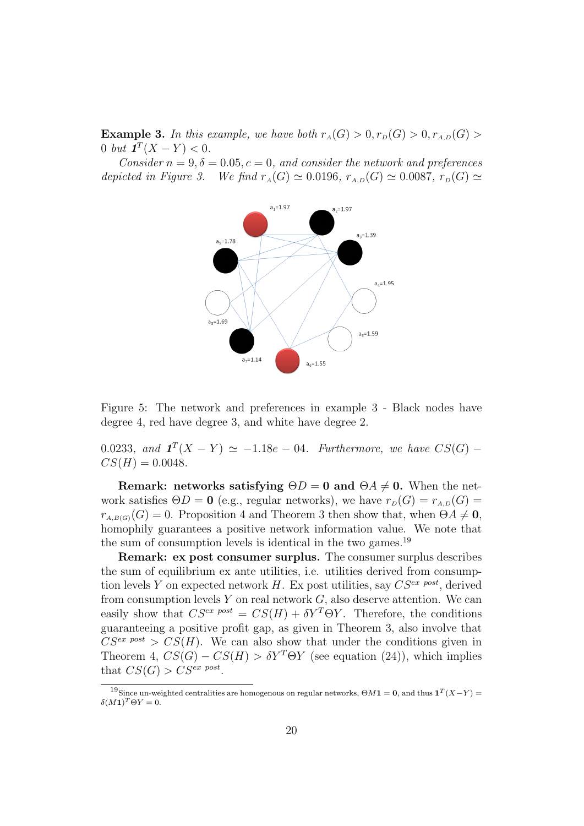**Example 3.** In this example, we have both  $r_A(G) > 0, r_D(G) > 0, r_{A,D}(G) > 0$ 0 but  $\mathbf{1}^T(X - Y) < 0$ .

Consider  $n = 9, \delta = 0.05, c = 0$ , and consider the network and preferences depicted in Figure 3. We find  $r_A(G) \simeq 0.0196$ ,  $r_{A,D}(G) \simeq 0.0087$ ,  $r_D(G) \simeq$ 



Figure 5: The network and preferences in example 3 - Black nodes have degree 4, red have degree 3, and white have degree 2.

0.0233, and  $\mathbf{1}^T(X - Y) \simeq -1.18e - 04$ . Furthermore, we have  $CS(G)$  –  $CS(H) = 0.0048.$ 

Remark: networks satisfying  $\Theta D = 0$  and  $\Theta A \neq 0$ . When the network satisfies  $\Theta D = \mathbf{0}$  (e.g., regular networks), we have  $r_D(G) = r_{A,D}(G)$  $r_{A,B(G)}(G) = 0$ . Proposition 4 and Theorem 3 then show that, when  $\Theta A \neq \mathbf{0}$ , homophily guarantees a positive network information value. We note that the sum of consumption levels is identical in the two games.<sup>19</sup>

Remark: ex post consumer surplus. The consumer surplus describes the sum of equilibrium ex ante utilities, i.e. utilities derived from consumption levels Y on expected network H. Ex post utilities, say  $CS^{ex}$  post, derived from consumption levels  $Y$  on real network  $G$ , also deserve attention. We can easily show that  $CS^{ex\ post} = CS(H) + \delta Y^T \Theta Y$ . Therefore, the conditions guaranteeing a positive profit gap, as given in Theorem 3, also involve that  $CS^{ex\ post} > CS(H)$ . We can also show that under the conditions given in Theorem 4,  $CS(G) - CS(H) > \delta Y^T \Theta Y$  (see equation (24)), which implies that  $CS(G) > CS^{ex\ post}$ .

<sup>&</sup>lt;sup>19</sup>Since un-weighted centralities are homogenous on regular networks,  $\Theta M \mathbf{1} = \mathbf{0}$ , and thus  $\mathbf{1}^T (X-Y) =$  $\delta(M\mathbf{1})^T\Theta Y=0.$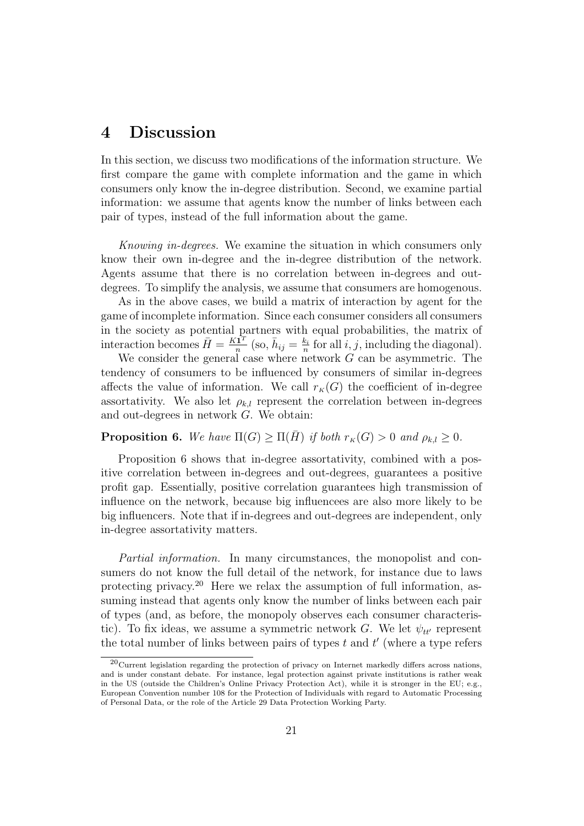## 4 Discussion

In this section, we discuss two modifications of the information structure. We first compare the game with complete information and the game in which consumers only know the in-degree distribution. Second, we examine partial information: we assume that agents know the number of links between each pair of types, instead of the full information about the game.

Knowing in-degrees. We examine the situation in which consumers only know their own in-degree and the in-degree distribution of the network. Agents assume that there is no correlation between in-degrees and outdegrees. To simplify the analysis, we assume that consumers are homogenous.

As in the above cases, we build a matrix of interaction by agent for the game of incomplete information. Since each consumer considers all consumers in the society as potential partners with equal probabilities, the matrix of interaction becomes  $\bar{H} = \frac{K\bar{1}^T}{r}$  $\frac{\overline{\mathbf{1}}^T}{n}$  (so,  $\overline{h}_{ij} = \frac{k_i}{n}$  $\frac{k_i}{n}$  for all  $i, j$ , including the diagonal).

We consider the general case where network  $G$  can be asymmetric. The tendency of consumers to be influenced by consumers of similar in-degrees affects the value of information. We call  $r_K(G)$  the coefficient of in-degree assortativity. We also let  $\rho_{k,l}$  represent the correlation between in-degrees and out-degrees in network G. We obtain:

**Proposition 6.** We have  $\Pi(G) \ge \Pi(\overline{H})$  if both  $r_K(G) > 0$  and  $\rho_{k,l} \ge 0$ .

Proposition 6 shows that in-degree assortativity, combined with a positive correlation between in-degrees and out-degrees, guarantees a positive profit gap. Essentially, positive correlation guarantees high transmission of influence on the network, because big influencees are also more likely to be big influencers. Note that if in-degrees and out-degrees are independent, only in-degree assortativity matters.

Partial information. In many circumstances, the monopolist and consumers do not know the full detail of the network, for instance due to laws protecting privacy.<sup>20</sup> Here we relax the assumption of full information, assuming instead that agents only know the number of links between each pair of types (and, as before, the monopoly observes each consumer characteristic). To fix ideas, we assume a symmetric network G. We let  $\psi_{tt'}$  represent the total number of links between pairs of types  $t$  and  $t'$  (where a type refers

 $^{20}$ Current legislation regarding the protection of privacy on Internet markedly differs across nations, and is under constant debate. For instance, legal protection against private institutions is rather weak in the US (outside the Children's Online Privacy Protection Act), while it is stronger in the EU; e.g., European Convention number 108 for the Protection of Individuals with regard to Automatic Processing of Personal Data, or the role of the Article 29 Data Protection Working Party.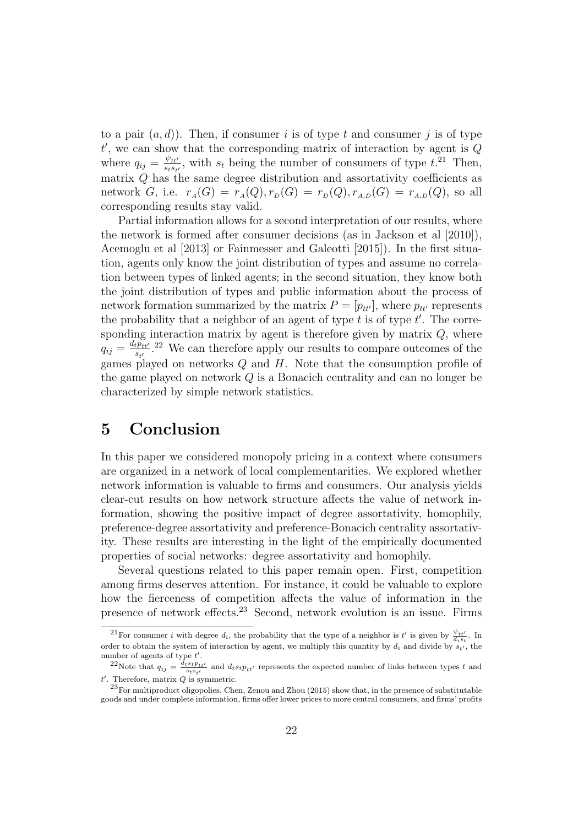to a pair  $(a, d)$ ). Then, if consumer i is of type t and consumer j is of type  $t'$ , we can show that the corresponding matrix of interaction by agent is  $Q$ where  $q_{ij} = \frac{\psi_{tt'}}{s_{ts}}$  $\frac{\psi_{tt'}}{s_{ts_{t'}}}$ , with  $s_t$  being the number of consumers of type  $t^{21}$ . Then, matrix  $Q$  has the same degree distribution and assortativity coefficients as network G, i.e.  $r_A(G) = r_A(Q), r_D(G) = r_D(Q), r_{A,D}(G) = r_{A,D}(Q)$ , so all corresponding results stay valid.

Partial information allows for a second interpretation of our results, where the network is formed after consumer decisions (as in Jackson et al [2010]), Acemoglu et al [2013] or Fainmesser and Galeotti [2015]). In the first situation, agents only know the joint distribution of types and assume no correlation between types of linked agents; in the second situation, they know both the joint distribution of types and public information about the process of network formation summarized by the matrix  $P = [p_{tt'}]$ , where  $p_{tt'}$  represents the probability that a neighbor of an agent of type  $t$  is of type  $t'$ . The corresponding interaction matrix by agent is therefore given by matrix  $Q$ , where  $q_{ij} = \frac{d_t p_{tt'}}{s}$  $\frac{t p_{tt'}}{s_{t'}}$ .<sup>22</sup> We can therefore apply our results to compare outcomes of the games played on networks  $Q$  and  $H$ . Note that the consumption profile of the game played on network Q is a Bonacich centrality and can no longer be characterized by simple network statistics.

# 5 Conclusion

In this paper we considered monopoly pricing in a context where consumers are organized in a network of local complementarities. We explored whether network information is valuable to firms and consumers. Our analysis yields clear-cut results on how network structure affects the value of network information, showing the positive impact of degree assortativity, homophily, preference-degree assortativity and preference-Bonacich centrality assortativity. These results are interesting in the light of the empirically documented properties of social networks: degree assortativity and homophily.

Several questions related to this paper remain open. First, competition among firms deserves attention. For instance, it could be valuable to explore how the fierceness of competition affects the value of information in the presence of network effects.<sup>23</sup> Second, network evolution is an issue. Firms

<sup>&</sup>lt;sup>21</sup>For consumer *i* with degree  $d_i$ , the probability that the type of a neighbor is  $t'$  is given by  $\frac{\psi_{tt'}}{d_i s_t}$ . In order to obtain the system of interaction by agent, we multiply this quantity by  $d_i$  and divide by  $s_{t'}$ , the number of agents of type  $t'$ .

<sup>&</sup>lt;sup>22</sup>Note that  $q_{ij} = \frac{d_t s_t p_{tt'}}{s_t s_{t'}}$  and  $d_t s_t p_{tt'}$  represents the expected number of links between types t and  $t'$ . Therefore, matrix  $Q$  is symmetric.

 $^{23}$ For multiproduct oligopolies, Chen, Zenou and Zhou (2015) show that, in the presence of substitutable goods and under complete information, firms offer lower prices to more central consumers, and firms' profits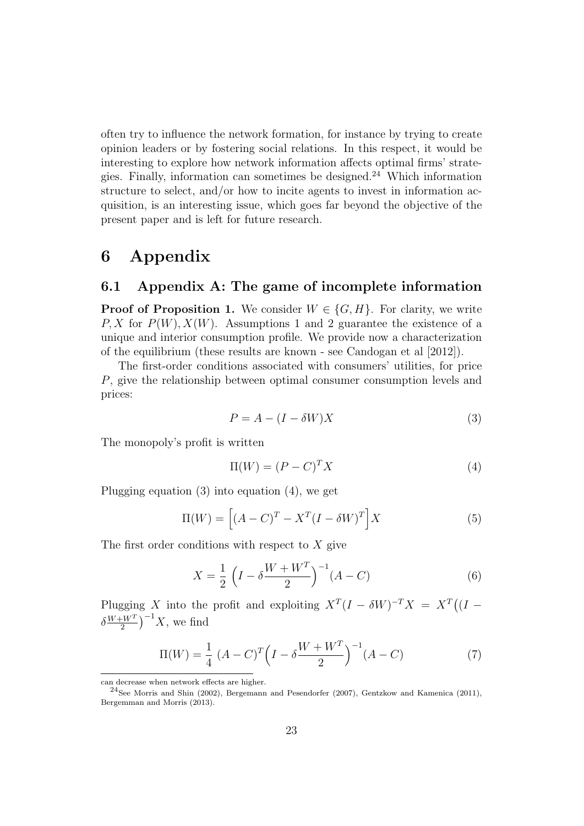often try to influence the network formation, for instance by trying to create opinion leaders or by fostering social relations. In this respect, it would be interesting to explore how network information affects optimal firms' strategies. Finally, information can sometimes be designed.<sup>24</sup> Which information structure to select, and/or how to incite agents to invest in information acquisition, is an interesting issue, which goes far beyond the objective of the present paper and is left for future research.

# 6 Appendix

## 6.1 Appendix A: The game of incomplete information

**Proof of Proposition 1.** We consider  $W \in \{G, H\}$ . For clarity, we write P, X for  $P(W)$ ,  $X(W)$ . Assumptions 1 and 2 guarantee the existence of a unique and interior consumption profile. We provide now a characterization of the equilibrium (these results are known - see Candogan et al [2012]).

The first-order conditions associated with consumers' utilities, for price P, give the relationship between optimal consumer consumption levels and prices:

$$
P = A - (I - \delta W)X\tag{3}
$$

The monopoly's profit is written

$$
\Pi(W) = (P - C)^T X \tag{4}
$$

Plugging equation (3) into equation (4), we get

$$
\Pi(W) = \left[ (A - C)^{T} - X^{T} (I - \delta W)^{T} \right] X \tag{5}
$$

The first order conditions with respect to  $X$  give

$$
X = \frac{1}{2} \left( I - \delta \frac{W + W^{T}}{2} \right)^{-1} (A - C)
$$
 (6)

Plugging X into the profit and exploiting  $X^T(I - \delta W)^{-T}X = X^T((I \delta \frac{W+W^T}{2}$  $\frac{W^T}{2}$  $\Big)^{-1}X$ , we find

$$
\Pi(W) = \frac{1}{4} (A - C)^T \left( I - \delta \frac{W + W^T}{2} \right)^{-1} (A - C)
$$
 (7)

can decrease when network effects are higher.

<sup>24</sup>See Morris and Shin (2002), Bergemann and Pesendorfer (2007), Gentzkow and Kamenica (2011), Bergemman and Morris (2013).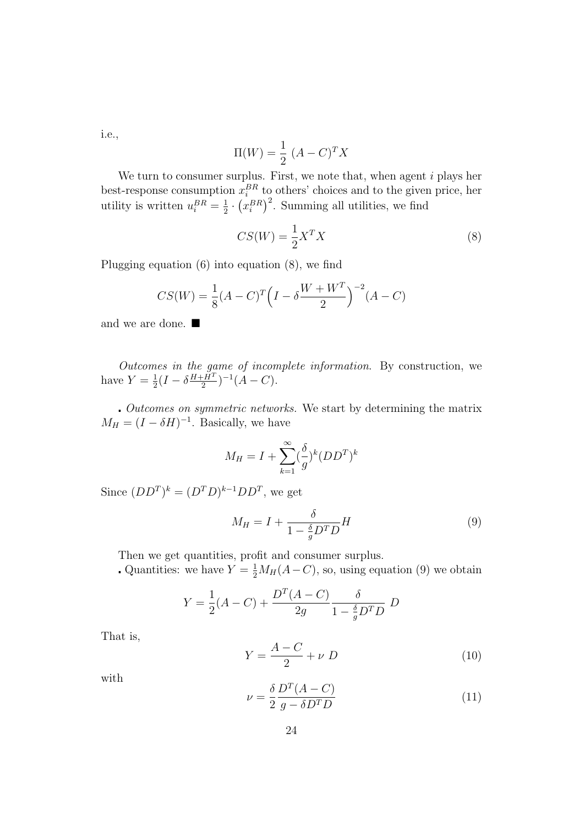i.e.,

$$
\Pi(W) = \frac{1}{2} (A - C)^T X
$$

We turn to consumer surplus. First, we note that, when agent  $i$  plays her best-response consumption  $x_i^{BR}$  to others' choices and to the given price, her utility is written  $u_i^{BR} = \frac{1}{2}$  $\frac{1}{2} \cdot (x_i^{BR})^2$ . Summing all utilities, we find

$$
CS(W) = \frac{1}{2}X^TX\tag{8}
$$

Plugging equation (6) into equation (8), we find

$$
CS(W) = \frac{1}{8}(A-C)^{T}\left(I - \delta \frac{W + W^{T}}{2}\right)^{-2}(A-C)
$$

and we are done.  $\blacksquare$ 

Outcomes in the game of incomplete information. By construction, we have  $Y=\frac{1}{2}$  $\frac{1}{2}(I-\delta \frac{H+\check{H}^T}{2}$  $\frac{(-H^T)}{2}$  $)^{-1}(A-C).$ 

 Outcomes on symmetric networks. We start by determining the matrix  $M_H = (I - \delta H)^{-1}$ . Basically, we have

$$
M_H = I + \sum_{k=1}^{\infty} (\frac{\delta}{g})^k (DD^T)^k
$$

Since  $(DD^T)^k = (D^T D)^{k-1} D D^T$ , we get

$$
M_H = I + \frac{\delta}{1 - \frac{\delta}{g} D^T D} H \tag{9}
$$

Then we get quantities, profit and consumer surplus.

Quantities: we have  $Y = \frac{1}{2}M_H(A-C)$ , so, using equation (9) we obtain

$$
Y = \frac{1}{2}(A - C) + \frac{D^{T}(A - C)}{2g} \frac{\delta}{1 - \frac{\delta}{g}D^{T}D} D
$$

That is,

$$
Y = \frac{A - C}{2} + \nu D \tag{10}
$$

with

$$
\nu = \frac{\delta}{2} \frac{D^T (A - C)}{g - \delta D^T D} \tag{11}
$$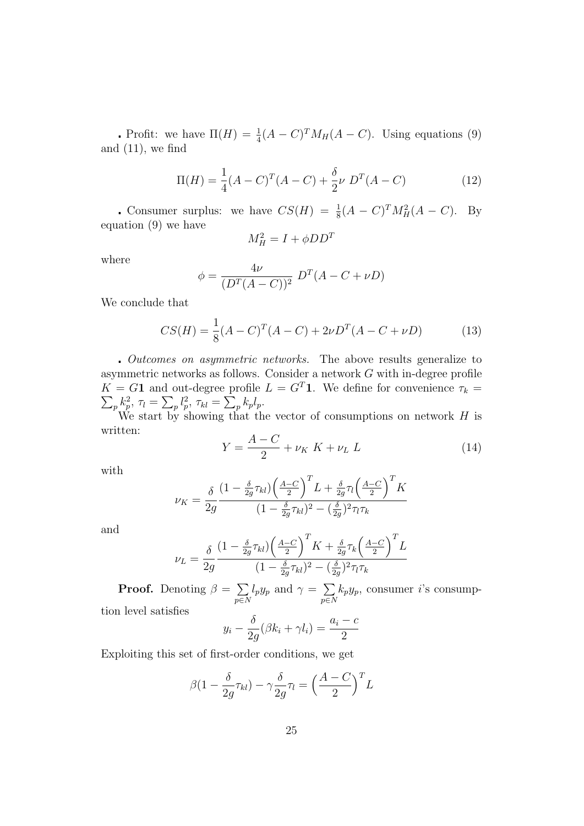Profit: we have  $\Pi(H) = \frac{1}{4}(A-C)^{T}M_{H}(A-C)$ . Using equations (9) and  $(11)$ , we find

$$
\Pi(H) = \frac{1}{4}(A - C)^{T}(A - C) + \frac{\delta}{2}\nu D^{T}(A - C)
$$
\n(12)

Consumer surplus: we have  $CS(H) = \frac{1}{8}(A-C)^{T}M_{H}^{2}(A-C)$ . By equation (9) we have

$$
M_H^2 = I + \phi D D^T
$$

where

$$
\phi = \frac{4\nu}{(D^{T}(A - C))^{2}} D^{T}(A - C + \nu D)
$$

We conclude that

$$
CS(H) = \frac{1}{8}(A - C)^{T}(A - C) + 2\nu D^{T}(A - C + \nu D)
$$
\n(13)

 Outcomes on asymmetric networks. The above results generalize to asymmetric networks as follows. Consider a network G with in-degree profile  $K = G1$  and out-degree profile  $L = G<sup>T</sup>1$ . We define for convenience  $\tau_k =$  $\sum_{p} k_{p}^{2}, \tau_{l} = \sum_{p} l_{p}^{2}, \tau_{kl} = \sum_{p} k_{p} l_{p}.$ 

We start by showing that the vector of consumptions on network  $H$  is written:

$$
Y = \frac{A - C}{2} + \nu_K K + \nu_L L \tag{14}
$$

with

$$
\nu_K = \frac{\delta}{2g} \frac{(1 - \frac{\delta}{2g} \tau_{kl}) \left(\frac{A-C}{2}\right)^T L + \frac{\delta}{2g} \tau_l \left(\frac{A-C}{2}\right)^T K}{(1 - \frac{\delta}{2g} \tau_{kl})^2 - (\frac{\delta}{2g})^2 \tau_l \tau_k}
$$

and

$$
\nu_L = \frac{\delta}{2g} \frac{(1 - \frac{\delta}{2g} \tau_{kl}) \left(\frac{A-C}{2}\right)^T K + \frac{\delta}{2g} \tau_k \left(\frac{A-C}{2}\right)^T L}{(1 - \frac{\delta}{2g} \tau_{kl})^2 - (\frac{\delta}{2g})^2 \tau_l \tau_k}
$$

**Proof.** Denoting  $\beta = \sum$  $p\!\!\in\!\!N$  $l_p y_p$  and  $\gamma = \sum$  $p\in\!N$  $k_p y_p$ , consumer *i*'s consumption level satisfies

$$
y_i - \frac{\delta}{2g}(\beta k_i + \gamma l_i) = \frac{a_i - c}{2}
$$

Exploiting this set of first-order conditions, we get

$$
\beta(1 - \frac{\delta}{2g}\tau_{kl}) - \gamma \frac{\delta}{2g}\tau_l = \left(\frac{A - C}{2}\right)^T L
$$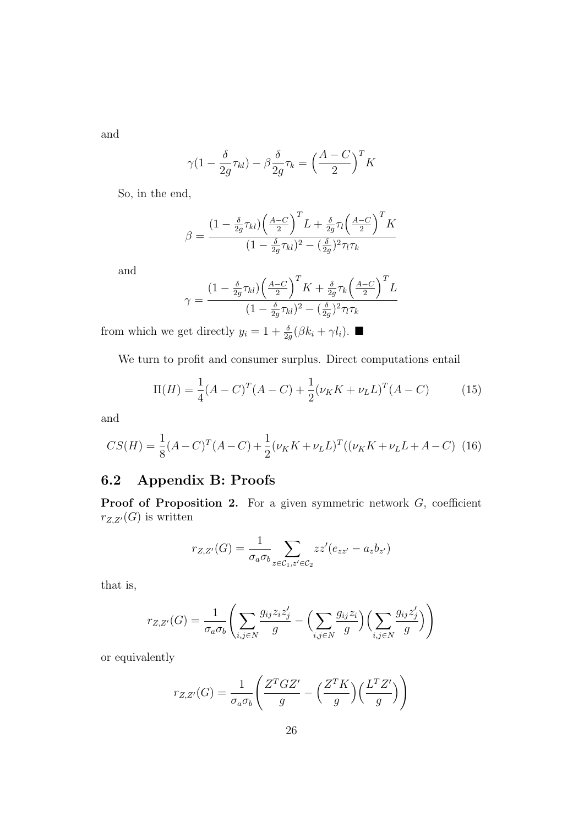and

$$
\gamma (1 - \frac{\delta}{2g} \tau_{kl}) - \beta \frac{\delta}{2g} \tau_k = \left(\frac{A - C}{2}\right)^T K
$$

So, in the end,

$$
\beta = \frac{(1 - \frac{\delta}{2g}\tau_{kl})\left(\frac{A-C}{2}\right)^{T}L + \frac{\delta}{2g}\tau_{l}\left(\frac{A-C}{2}\right)^{T}K}{(1 - \frac{\delta}{2g}\tau_{kl})^{2} - (\frac{\delta}{2g})^{2}\tau_{l}\tau_{k}}
$$

and

$$
\gamma = \frac{\left(1 - \frac{\delta}{2g}\tau_{kl}\right)\left(\frac{A-C}{2}\right)^T K + \frac{\delta}{2g}\tau_k\left(\frac{A-C}{2}\right)^T L}{\left(1 - \frac{\delta}{2g}\tau_{kl}\right)^2 - \left(\frac{\delta}{2g}\right)^2 \tau_l \tau_k}
$$

from which we get directly  $y_i = 1 + \frac{\delta}{2g}(\beta k_i + \gamma l_i)$ .

We turn to profit and consumer surplus. Direct computations entail

$$
\Pi(H) = \frac{1}{4}(A - C)^{T}(A - C) + \frac{1}{2}(\nu_{K}K + \nu_{L}L)^{T}(A - C)
$$
(15)

and

$$
CS(H) = \frac{1}{8}(A-C)^{T}(A-C) + \frac{1}{2}(\nu_{K}K + \nu_{L}L)^{T}((\nu_{K}K + \nu_{L}L + A-C) \quad (16)
$$

# 6.2 Appendix B: Proofs

**Proof of Proposition 2.** For a given symmetric network  $G$ , coefficient  $r_{Z,Z'}(G)$  is written

$$
r_{Z,Z'}(G) = \frac{1}{\sigma_a \sigma_b} \sum_{z \in C_1, z' \in C_2} z z' (e_{zz'} - a_z b_{z'})
$$

that is,

$$
r_{Z,Z'}(G) = \frac{1}{\sigma_a \sigma_b} \left( \sum_{i,j \in N} \frac{g_{ij} z_i z_j'}{g} - \left( \sum_{i,j \in N} \frac{g_{ij} z_i}{g} \right) \left( \sum_{i,j \in N} \frac{g_{ij} z_j'}{g} \right) \right)
$$

or equivalently

$$
r_{Z,Z'}(G) = \frac{1}{\sigma_a \sigma_b} \left( \frac{Z^T G Z'}{g} - \left( \frac{Z^T K}{g} \right) \left( \frac{L^T Z'}{g} \right) \right)
$$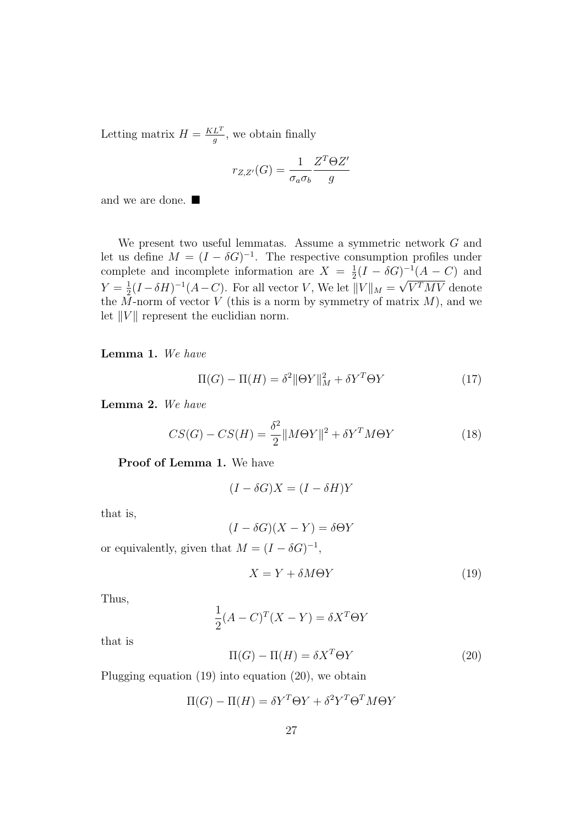Letting matrix  $H = \frac{KL^{T}}{a}$  $\frac{L^2}{g}$ , we obtain finally

$$
r_{Z,Z'}(G) = \frac{1}{\sigma_a \sigma_b} \frac{Z^T \Theta Z'}{g}
$$

and we are done.

We present two useful lemmatas. Assume a symmetric network G and let us define  $M = (I - \delta G)^{-1}$ . The respective consumption profiles under complete and incomplete information are  $X = \frac{1}{2}$  $\frac{1}{2}(I - \delta G)^{-1}(A - C)$  and  $Y=\frac{1}{2}$  $\frac{1}{2}(I - \delta H)^{-1}(A - C)$ . For all vector V, We let  $||V||_M = \sqrt{V^T M V}$  denote the  $\overline{M}$ -norm of vector V (this is a norm by symmetry of matrix  $M$ ), and we let  $||V||$  represent the euclidian norm.

Lemma 1. We have

$$
\Pi(G) - \Pi(H) = \delta^2 \|\Theta Y\|_M^2 + \delta Y^T \Theta Y \tag{17}
$$

Lemma 2. We have

$$
CS(G) - CS(H) = \frac{\delta^2}{2} ||M\Theta Y||^2 + \delta Y^T M \Theta Y \tag{18}
$$

Proof of Lemma 1. We have

$$
(I - \delta G)X = (I - \delta H)Y
$$

that is,

$$
(I - \delta G)(X - Y) = \delta \Theta Y
$$

or equivalently, given that  $M = (I - \delta G)^{-1}$ ,

$$
X = Y + \delta M \Theta Y \tag{19}
$$

Thus,

$$
\frac{1}{2}(A-C)^{T}(X-Y) = \delta X^{T} \Theta Y
$$

that is

$$
\Pi(G) - \Pi(H) = \delta X^T \Theta Y \tag{20}
$$

Plugging equation (19) into equation (20), we obtain

$$
\Pi(G) - \Pi(H) = \delta Y^T \Theta Y + \delta^2 Y^T \Theta^T M \Theta Y
$$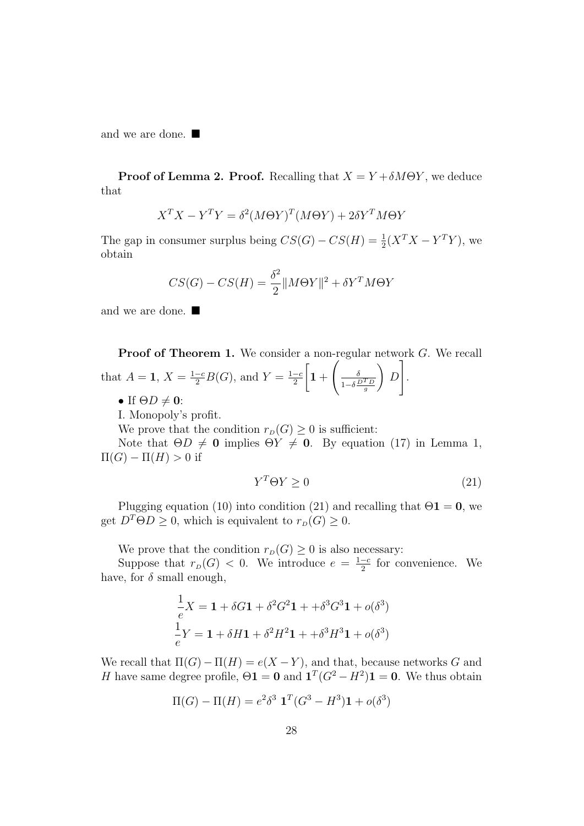and we are done.

**Proof of Lemma 2. Proof.** Recalling that  $X = Y + \delta M\Theta Y$ , we deduce that

$$
X^T X - Y^T Y = \delta^2 (M\Theta Y)^T (M\Theta Y) + 2\delta Y^T M\Theta Y
$$

The gap in consumer surplus being  $CS(G) - CS(H) = \frac{1}{2}(X^T X - Y^T Y)$ , we obtain

$$
CS(G) - CS(H) = \frac{\delta^2}{2} ||M\Theta Y||^2 + \delta Y^T M \Theta Y
$$

and we are done.

Proof of Theorem 1. We consider a non-regular network G. We recall that  $A = 1, X = \frac{1-c}{2}B(G)$ , and  $Y = \frac{1-c}{2}$ 2  $\sqrt{ }$  $1 +$  $\begin{pmatrix} 1 & 1 \\ 0 & 1 \end{pmatrix}$  $1-\delta \frac{D^T D}{g}$  $\setminus$ D 1 .

• If  $\Theta D \neq 0$ :

I. Monopoly's profit.

We prove that the condition  $r_D(G) \geq 0$  is sufficient:

Note that  $\Theta D \neq 0$  implies  $\Theta Y \neq 0$ . By equation (17) in Lemma 1,  $\Pi(G) - \Pi(H) > 0$  if

$$
Y^T \Theta Y \ge 0 \tag{21}
$$

Plugging equation (10) into condition (21) and recalling that  $\Theta$ **1** = **0**, we get  $D^T\Theta D \geq 0$ , which is equivalent to  $r_D(G) \geq 0$ .

We prove that the condition  $r_D(G) \geq 0$  is also necessary:

Suppose that  $r_D(G) < 0$ . We introduce  $e = \frac{1-c}{2}$  $\frac{-c}{2}$  for convenience. We have, for  $\delta$  small enough,

$$
\frac{1}{e}X = \mathbf{1} + \delta G \mathbf{1} + \delta^2 G^2 \mathbf{1} + \delta^3 G^3 \mathbf{1} + o(\delta^3)
$$
  

$$
\frac{1}{e}Y = \mathbf{1} + \delta H \mathbf{1} + \delta^2 H^2 \mathbf{1} + \delta^3 H^3 \mathbf{1} + o(\delta^3)
$$

We recall that  $\Pi(G) - \Pi(H) = e(X - Y)$ , and that, because networks G and H have same degree profile,  $\Theta \mathbf{1} = \mathbf{0}$  and  $\mathbf{1}^T(G^2 - H^2) \mathbf{1} = \mathbf{0}$ . We thus obtain

$$
\Pi(G) - \Pi(H) = e^2 \delta^3 \mathbf{1}^T (G^3 - H^3) \mathbf{1} + o(\delta^3)
$$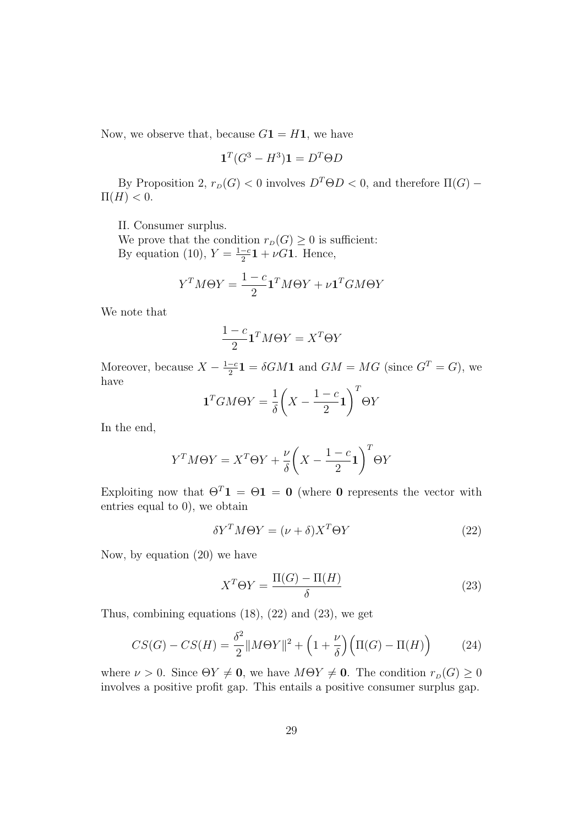Now, we observe that, because  $G1 = H1$ , we have

$$
\mathbf{1}^T (G^3 - H^3) \mathbf{1} = D^T \Theta D
$$

By Proposition 2,  $r_D(G) < 0$  involves  $D^T\Theta D < 0$ , and therefore  $\Pi(G)$  –  $\Pi(H) < 0.$ 

II. Consumer surplus.

We prove that the condition  $r_D(G) \geq 0$  is sufficient: By equation (10),  $Y = \frac{1-c}{2}$  $\frac{-c}{2}$ **1** +  $\nu$ *G***1**. Hence,

$$
Y^T M \Theta Y = \frac{1 - c}{2} \mathbf{1}^T M \Theta Y + \nu \mathbf{1}^T G M \Theta Y
$$

We note that

$$
\frac{1 - c}{2} \mathbf{1}^T M \Theta Y = X^T \Theta Y
$$

Moreover, because  $X - \frac{1-c}{2}$  $\frac{-c}{2}$ **1** =  $\delta GM$ **1** and  $GM = MG$  (since  $G^T = G$ ), we have

$$
\mathbf{1}^T G M \Theta Y = \frac{1}{\delta} \left( X - \frac{1 - c}{2} \mathbf{1} \right)^T \Theta Y
$$

In the end,

$$
Y^{T}M\Theta Y = X^{T}\Theta Y + \frac{\nu}{\delta} \left(X - \frac{1-c}{2}\mathbf{1}\right)^{T}\Theta Y
$$

Exploiting now that  $\Theta^T \mathbf{1} = \Theta \mathbf{1} = \mathbf{0}$  (where **0** represents the vector with entries equal to 0), we obtain

$$
\delta Y^T M \Theta Y = (\nu + \delta) X^T \Theta Y \tag{22}
$$

Now, by equation (20) we have

$$
X^T \Theta Y = \frac{\Pi(G) - \Pi(H)}{\delta} \tag{23}
$$

Thus, combining equations (18), (22) and (23), we get

$$
CS(G) - CS(H) = \frac{\delta^2}{2} ||M\Theta Y||^2 + \left(1 + \frac{\nu}{\delta}\right) \left(\Pi(G) - \Pi(H)\right) \tag{24}
$$

where  $\nu > 0$ . Since  $\Theta Y \neq \mathbf{0}$ , we have  $M\Theta Y \neq \mathbf{0}$ . The condition  $r_D(G) \geq 0$ involves a positive profit gap. This entails a positive consumer surplus gap.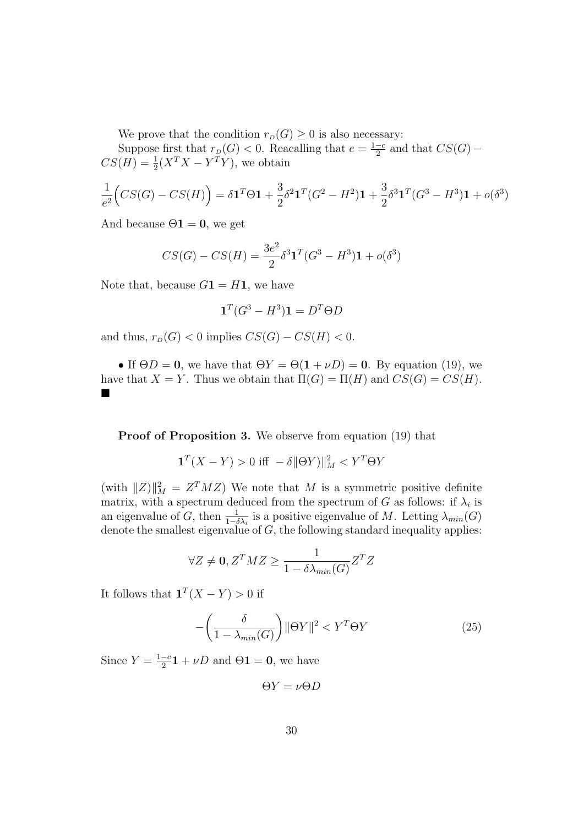We prove that the condition  $r_D(G) \geq 0$  is also necessary:

Suppose first that  $r_D(G) < 0$ . Reacalling that  $e = \frac{1-c}{2}$  $\frac{-c}{2}$  and that  $CS(G)$  –  $CS(H) = \frac{1}{2}(X^T X - Y^T Y)$ , we obtain

$$
\frac{1}{e^2} \Big( CS(G) - CS(H) \Big) = \delta \mathbf{1}^T \Theta \mathbf{1} + \frac{3}{2} \delta^2 \mathbf{1}^T (G^2 - H^2) \mathbf{1} + \frac{3}{2} \delta^3 \mathbf{1}^T (G^3 - H^3) \mathbf{1} + o(\delta^3)
$$

And because  $\Theta$ **1** = **0**, we get

$$
CS(G) - CS(H) = \frac{3e^2}{2} \delta^3 \mathbf{1}^T (G^3 - H^3) \mathbf{1} + o(\delta^3)
$$

Note that, because  $G1 = H1$ , we have

$$
\mathbf{1}^T(G^3 - H^3)\mathbf{1} = D^T \Theta D
$$

and thus,  $r_D(G) < 0$  implies  $CS(G) - CS(H) < 0$ .

• If  $\Theta D = 0$ , we have that  $\Theta Y = \Theta(1 + \nu D) = 0$ . By equation (19), we have that  $X = Y$ . Thus we obtain that  $\Pi(G) = \Pi(H)$  and  $CS(G) = CS(H)$ .  $\blacksquare$ 

Proof of Proposition 3. We observe from equation (19) that

$$
\mathbf{1}^T(X - Y) > 0 \text{ iff } -\delta \|\Theta Y\|_M^2 < Y^T \Theta Y
$$

(with  $||Z||_M^2 = Z^T M Z$ ) We note that M is a symmetric positive definite matrix, with a spectrum deduced from the spectrum of G as follows: if  $\lambda_i$  is an eigenvalue of G, then  $\frac{1}{1-\delta\lambda_i}$  is a positive eigenvalue of M. Letting  $\lambda_{min}(G)$ denote the smallest eigenvalue of  $G$ , the following standard inequality applies:

$$
\forall Z \neq \mathbf{0}, Z^T M Z \ge \frac{1}{1 - \delta \lambda_{min}(G)} Z^T Z
$$

It follows that  $\mathbf{1}^T(X-Y) > 0$  if

$$
-\left(\frac{\delta}{1-\lambda_{min}(G)}\right) \|\Theta Y\|^2 < Y^T \Theta Y \tag{25}
$$

Since  $Y = \frac{1-c}{2}$  $\frac{-c}{2}$ **1** +  $\nu$ *D* and  $\Theta$ **1** = **0**, we have

 $\Theta Y = \nu \Theta D$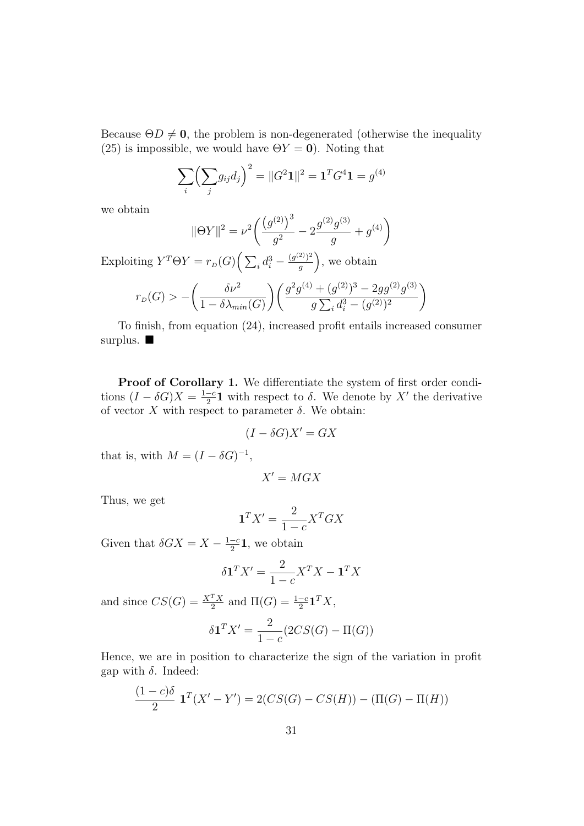Because  $\Theta D \neq 0$ , the problem is non-degenerated (otherwise the inequality (25) is impossible, we would have  $\Theta Y = 0$ ). Noting that

$$
\sum_{i} \left( \sum_{j} g_{ij} d_j \right)^2 = ||G^2 \mathbf{1}||^2 = \mathbf{1}^T G^4 \mathbf{1} = g^{(4)}
$$

we obtain

$$
\|\Theta Y\|^2 = \nu^2 \bigg( \frac{\left(g^{(2)}\right)^3}{g^2} - 2 \frac{g^{(2)}g^{(3)}}{g} + g^{(4)} \bigg)
$$

Exploiting  $Y^T \Theta Y = r_D(G) \left( \sum_i d_i^3 - \frac{(g^{(2)})^2}{q} \right)$  $\binom{[2]}{g}$ , we obtain

$$
r_D(G) > -\left(\frac{\delta \nu^2}{1 - \delta \lambda_{min}(G)}\right) \left(\frac{g^2 g^{(4)} + (g^{(2)})^3 - 2gg^{(2)}g^{(3)}}{g \sum_i d_i^3 - (g^{(2)})^2}\right)
$$

To finish, from equation (24), increased profit entails increased consumer surplus.

Proof of Corollary 1. We differentiate the system of first order conditions  $(I - \delta G)X = \frac{1-c}{2}$  $\frac{-c}{2}$ **1** with respect to  $\delta$ . We denote by X' the derivative of vector X with respect to parameter  $\delta$ . We obtain:

$$
(I - \delta G)X' = GX
$$

that is, with  $M = (I - \delta G)^{-1}$ ,

$$
X'=MGX
$$

Thus, we get

$$
\mathbf{1}^T X' = \frac{2}{1-c} X^T G X
$$

Given that  $\delta GX = X - \frac{1-c}{2}$  $\frac{-c}{2}1$ , we obtain

$$
\delta \mathbf{1}^T X' = \frac{2}{1 - c} X^T X - \mathbf{1}^T X
$$

and since  $CS(G) = \frac{X^T X}{2}$  and  $\Pi(G) = \frac{1-c}{2} \mathbf{1}^T X$ ,

$$
\delta \mathbf{1}^T X' = \frac{2}{1-c} (2CS(G) - \Pi(G))
$$

Hence, we are in position to characterize the sign of the variation in profit gap with  $\delta$ . Indeed:

$$
\frac{(1-c)\delta}{2} \mathbf{1}^T (X'-Y') = 2(CS(G) - CS(H)) - (\Pi(G) - \Pi(H))
$$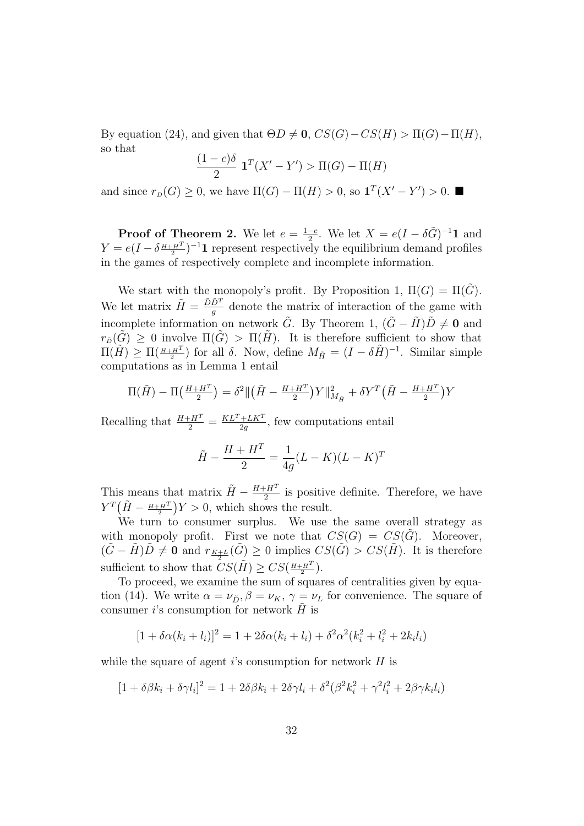By equation (24), and given that  $\Theta D \neq \mathbf{0}$ ,  $CS(G)-CS(H) > \Pi(G)-\Pi(H)$ , so that

$$
\frac{(1-c)\delta}{2} \mathbf{1}^T (X' - Y') > \Pi(G) - \Pi(H)
$$

and since  $r_D(G) \geq 0$ , we have  $\Pi(G) - \Pi(H) > 0$ , so  $\mathbf{1}^T(X' - Y') > 0$ .

**Proof of Theorem 2.** We let  $e = \frac{1-c}{2}$  $\frac{-c}{2}$ . We let  $X = e(I - \delta \tilde{G})^{-1} \mathbf{1}$  and  $Y = e(I - \delta \frac{H + H^T}{2})^{-1}$  represent respectively the equilibrium demand profiles in the games of respectively complete and incomplete information.

We start with the monopoly's profit. By Proposition 1,  $\Pi(G) = \Pi(\tilde{G})$ . We let matrix  $\tilde{H} = \frac{\tilde{D}\tilde{D}^{T}}{q}$  $\frac{D^2}{g}$  denote the matrix of interaction of the game with incomplete information on network  $\tilde{G}$ . By Theorem 1,  $(\tilde{G} - \tilde{H})\tilde{D} \neq 0$  and  $r_{\tilde{D}}(\tilde{G}) > 0$  involve  $\Pi(\tilde{G}) > \Pi(\tilde{H})$ . It is therefore sufficient to show that  $\Pi(H) \geq \Pi(\frac{H+H^{T}}{2})$  for all  $\delta$ . Now, define  $M_{\tilde{H}} = (I - \delta \tilde{H})^{-1}$ . Similar simple computations as in Lemma 1 entail

$$
\Pi(\tilde{H}) - \Pi\left(\frac{H + H^{T}}{2}\right) = \delta^{2} || (\tilde{H} - \frac{H + H^{T}}{2})Y ||_{M_{\tilde{H}}}^{2} + \delta Y^{T} (\tilde{H} - \frac{H + H^{T}}{2})Y
$$

Recalling that  $\frac{H+H^T}{2} = \frac{KL^T + LK^T}{2g}$  $\frac{+LK^2}{2g}$ , few computations entail

$$
\tilde{H} - \frac{H + H^{T}}{2} = \frac{1}{4g}(L - K)(L - K)^{T}
$$

This means that matrix  $\tilde{H} - \frac{H + H^T}{2}$  $\frac{2H^2}{2}$  is positive definite. Therefore, we have  $Y^T(\tilde{H} - \frac{H+H^T}{2})Y > 0$ , which shows the result.

We turn to consumer surplus. We use the same overall strategy as with monopoly profit. First we note that  $CS(G) = CS(G)$ . Moreover,  $(\tilde{G}-\tilde{H})\tilde{D} \neq 0$  and  $r_{K+L}(\tilde{G}) \geq 0$  implies  $CS(\tilde{G}) > CS(\tilde{H})$ . It is therefore sufficient to show that  $CS(\tilde{H}) \geq CS(\frac{H+H^T}{2})$ .

To proceed, we examine the sum of squares of centralities given by equation (14). We write  $\alpha = \nu_{\tilde{D}}, \beta = \nu_K, \gamma = \nu_L$  for convenience. The square of consumer i's consumption for network  $\tilde{H}$  is

$$
[1 + \delta \alpha (k_i + l_i)]^2 = 1 + 2\delta \alpha (k_i + l_i) + \delta^2 \alpha^2 (k_i^2 + l_i^2 + 2k_i l_i)
$$

while the square of agent i's consumption for network  $H$  is

$$
[1 + \delta\beta k_i + \delta\gamma l_i]^2 = 1 + 2\delta\beta k_i + 2\delta\gamma l_i + \delta^2(\beta^2 k_i^2 + \gamma^2 l_i^2 + 2\beta\gamma k_i l_i)
$$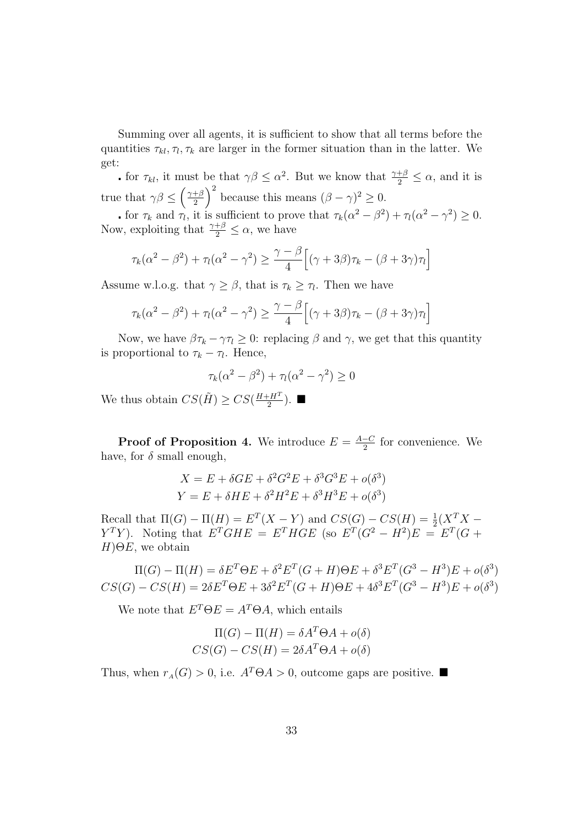Summing over all agents, it is sufficient to show that all terms before the quantities  $\tau_{kl}, \tau_l, \tau_k$  are larger in the former situation than in the latter. We get:

for  $\tau_{kl}$ , it must be that  $\gamma \beta \leq \alpha^2$ . But we know that  $\frac{\gamma + \beta}{2} \leq \alpha$ , and it is true that  $\gamma \beta \leq \left(\frac{\gamma + \beta}{2}\right)$  $\left(\frac{+\beta}{2}\right)^2$  because this means  $(\beta - \gamma)^2 \geq 0$ .

for  $\tau_k$  and  $\tau_l$ , it is sufficient to prove that  $\tau_k(\alpha^2 - \beta^2) + \tau_l(\alpha^2 - \gamma^2) \geq 0$ . Now, exploiting that  $\frac{\gamma+\beta}{2} \leq \alpha$ , we have

$$
\tau_k(\alpha^2 - \beta^2) + \tau_l(\alpha^2 - \gamma^2) \ge \frac{\gamma - \beta}{4} \Big[ (\gamma + 3\beta)\tau_k - (\beta + 3\gamma)\tau_l \Big]
$$

Assume w.l.o.g. that  $\gamma \geq \beta$ , that is  $\tau_k \geq \tau_l$ . Then we have

$$
\tau_k(\alpha^2 - \beta^2) + \tau_l(\alpha^2 - \gamma^2) \ge \frac{\gamma - \beta}{4} \Big[ (\gamma + 3\beta)\tau_k - (\beta + 3\gamma)\tau_l \Big]
$$

Now, we have  $\beta \tau_k - \gamma \tau_l \geq 0$ : replacing  $\beta$  and  $\gamma$ , we get that this quantity is proportional to  $\tau_k - \tau_l$ . Hence,

$$
\tau_k(\alpha^2 - \beta^2) + \tau_l(\alpha^2 - \gamma^2) \ge 0
$$

We thus obtain  $CS(\tilde{H}) \geq CS(\frac{H+H^T}{2})$  $\frac{H^T}{2}$ ).  $\blacksquare$ 

**Proof of Proposition 4.** We introduce  $E = \frac{A-C}{2}$  $\frac{-C}{2}$  for convenience. We have, for  $\delta$  small enough,

$$
X = E + \delta GE + \delta^2 G^2 E + \delta^3 G^3 E + o(\delta^3)
$$
  

$$
Y = E + \delta HE + \delta^2 H^2 E + \delta^3 H^3 E + o(\delta^3)
$$

Recall that  $\Pi(G) - \Pi(H) = E^T(X - Y)$  and  $CS(G) - CS(H) = \frac{1}{2}(X^T X Y^TY$ ). Noting that  $E^T GHE = E^T HGE$  (so  $E^T (G^2 - H^2)E = E^T (G +$  $H$ ) $\Theta E$ , we obtain

 $\Pi(G) - \Pi(H) = \delta E^{T} \Theta E + \delta^{2} E^{T} (G + H) \Theta E + \delta^{3} E^{T} (G^{3} - H^{3}) E + o(\delta^{3})$  $CS(G) - CS(H) = 2\delta E^{T} \Theta E + 3\delta^{2} E^{T} (G+H) \Theta E + 4\delta^{3} E^{T} (G^{3} - H^{3}) E + o(\delta^{3})$ 

We note that  $E^T \Theta E = A^T \Theta A$ , which entails

$$
\Pi(G) - \Pi(H) = \delta A^T \Theta A + o(\delta)
$$
  

$$
CS(G) - CS(H) = 2\delta A^T \Theta A + o(\delta)
$$

Thus, when  $r_A(G) > 0$ , i.e.  $A^T \Theta A > 0$ , outcome gaps are positive.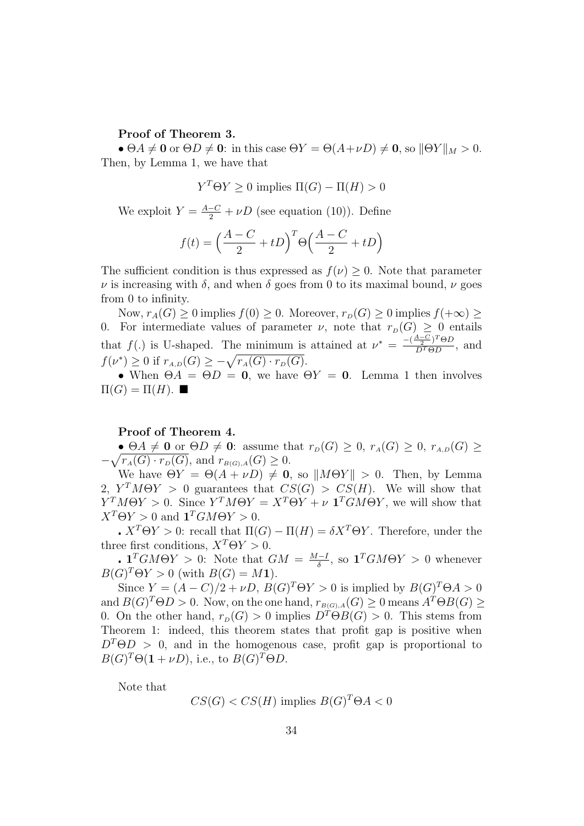Proof of Theorem 3.

•  $\Theta A \neq \mathbf{0}$  or  $\Theta D \neq \mathbf{0}$ : in this case  $\Theta Y = \Theta(A + \nu D) \neq \mathbf{0}$ , so  $\|\Theta Y\|_M > 0$ . Then, by Lemma 1, we have that

$$
Y^T \Theta Y \ge 0
$$
 implies  $\Pi(G) - \Pi(H) > 0$ 

We exploit  $Y = \frac{A-C}{2} + \nu D$  (see equation (10)). Define

$$
f(t) = \left(\frac{A-C}{2} + tD\right)^{T} \Theta\left(\frac{A-C}{2} + tD\right)
$$

The sufficient condition is thus expressed as  $f(\nu) > 0$ . Note that parameter  $\nu$  is increasing with  $\delta$ , and when  $\delta$  goes from 0 to its maximal bound,  $\nu$  goes from 0 to infinity.

Now,  $r_A(G) \geq 0$  implies  $f(0) \geq 0$ . Moreover,  $r_D(G) \geq 0$  implies  $f(+\infty) \geq 0$ 0. For intermediate values of parameter  $\nu$ , note that  $r_D(G) \geq 0$  entails that  $f(.)$  is U-shaped. The minimum is attained at  $\nu^* = \frac{-(\frac{A-C}{2})^T \Theta D}{D^T \Theta D}$  $\frac{2}{D^T \Theta D}$ , and  $f(\nu^*) \geq 0$  if  $r_{A,D}(G) \geq -\sqrt{r_A(G) \cdot r_D(G)}$ .

• When  $\Theta A = \Theta D = 0$ , we have  $\Theta Y = 0$ . Lemma 1 then involves  $\Pi(G) = \Pi(H)$ .

#### Proof of Theorem 4.

•  $\Theta A \neq \mathbf{0}$  or  $\Theta D \neq \mathbf{0}$ : assume that  $r_D(G) \geq 0$ ,  $r_A(G) \geq 0$ ,  $r_{A,D}(G) \geq 0$  $-\sqrt{r_A(G)\cdot r_D(G)}$ , and  $r_{B(G),A}(G)\geq 0$ .

We have  $\Theta Y = \Theta(A + \nu D) \neq \mathbf{0}$ , so  $||M\Theta Y|| > 0$ . Then, by Lemma 2,  $Y^T M \Theta Y > 0$  guarantees that  $CS(G) > CS(H)$ . We will show that  $Y^T M \Theta Y > 0$ . Since  $Y^T M \Theta Y = X^T \Theta Y + \nu \mathbf{1}^T G M \Theta Y$ , we will show that  $X^T \Theta Y > 0$  and  $\mathbf{1}^T G M \Theta Y > 0$ .

 $\mathbf{X}^T \Theta Y > 0$ : recall that  $\Pi(G) - \Pi(H) = \delta X^T \Theta Y$ . Therefore, under the three first conditions,  $X^T\Theta Y > 0$ .

. 1<sup>T</sup>GM $\Theta Y > 0$ : Note that  $GM = \frac{M-I}{\delta}$  $\frac{q-1}{\delta}$ , so  $\mathbf{1}^T G M \Theta Y > 0$  whenever  $B(G)^{T}\Theta Y > 0$  (with  $B(G) = M$ 1).

Since  $Y = (A - C)/2 + \nu D$ ,  $B(G)^T \Theta Y > 0$  is implied by  $B(G)^T \Theta A > 0$ and  $B(G)^{T}\Theta D > 0$ . Now, on the one hand,  $r_{B(G),A}(G) \geq 0$  means  $A^{T}\Theta B(G) \geq 0$ 0. On the other hand,  $r_D(G) > 0$  implies  $D^T\Theta B(G) > 0$ . This stems from Theorem 1: indeed, this theorem states that profit gap is positive when  $D^T\Theta D > 0$ , and in the homogenous case, profit gap is proportional to  $B(G)^{T}\Theta(\mathbf{1}+\nu D), \text{ i.e., to } B(G)^{T}\Theta D.$ 

Note that

$$
CS(G) < CS(H) \text{ implies } B(G)^T \Theta A < 0
$$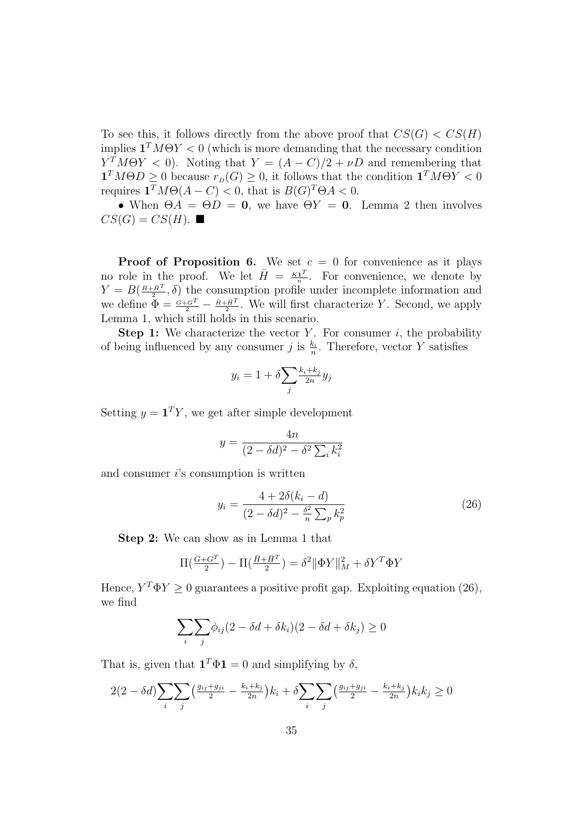To see this, it follows directly from the above proof that  $CS(G) < CS(H)$ implies  $\mathbf{1}^T M \Theta Y < 0$  (which is more demanding that the necessary condition  $Y^T M \Theta Y < 0$ ). Noting that  $Y = (A - C)/2 + \nu D$  and remembering that  $\mathbf{1}^T M \Theta D \geq 0$  because  $r_D(G) \geq 0$ , it follows that the condition  $\mathbf{1}^T M \Theta Y < 0$ requires  $\mathbf{1}^T M \Theta(A-C) < 0$ , that is  $B(G)^T \Theta A < 0$ .

• When  $\Theta A = \Theta D = 0$ , we have  $\Theta Y = 0$ . Lemma 2 then involves  $CS(G) = CS(H)$ .

**Proof of Proposition 6.** We set  $c = 0$  for convenience as it plays no role in the proof. We let  $\bar{H} = \frac{K\mathbf{1}^T}{n}$  $\frac{\mathbf{1}^T}{n}$ . For convenience, we denote by  $Y = B(\frac{\bar{H} + \bar{H}^{T}}{2}, \delta)$  the consumption profile under incomplete information and we define  $\Phi = \frac{G + G^T}{2} - \frac{\bar{H} + \bar{H}^T}{2}$ . We will first characterize Y. Second, we apply Lemma 1, which still holds in this scenario.

**Step 1:** We characterize the vector Y. For consumer  $i$ , the probability of being influenced by any consumer j is  $\frac{k_i}{n}$ . Therefore, vector Y satisfies

$$
y_i = 1 + \delta \sum_j \frac{k_i + k_j}{2n} y_j
$$

Setting  $y = \mathbf{1}^T Y$ , we get after simple development

$$
y = \frac{4n}{(2 - \delta d)^2 - \delta^2 \sum_i k_i^2}
$$

and consumer  $i$ 's consumption is written

$$
y_i = \frac{4 + 2\delta(k_i - d)}{(2 - \delta d)^2 - \frac{\delta^2}{n} \sum_p k_p^2}
$$
 (26)

Step 2: We can show as in Lemma 1 that

$$
\Pi\left(\tfrac{G+G^T}{2}\right) - \Pi\left(\tfrac{\bar{H}+\bar{H}^T}{2}\right) = \delta^2 \|\Phi Y\|_M^2 + \delta Y^T \Phi Y
$$

Hence,  $Y^T \Phi Y \ge 0$  guarantees a positive profit gap. Exploiting equation (26), we find

$$
\sum_{i} \sum_{j} \phi_{ij} (2 - \delta d + \delta k_i)(2 - \delta d + \delta k_j) \ge 0
$$

That is, given that  $\mathbf{1}^T \Phi \mathbf{1} = 0$  and simplifying by  $\delta$ ,

$$
2(2 - \delta d) \sum_{i} \sum_{j} \left( \frac{g_{ij} + g_{ji}}{2} - \frac{k_i + k_j}{2n} \right) k_i + \delta \sum_{i} \sum_{j} \left( \frac{g_{ij} + g_{ji}}{2} - \frac{k_i + k_j}{2n} \right) k_i k_j \ge 0
$$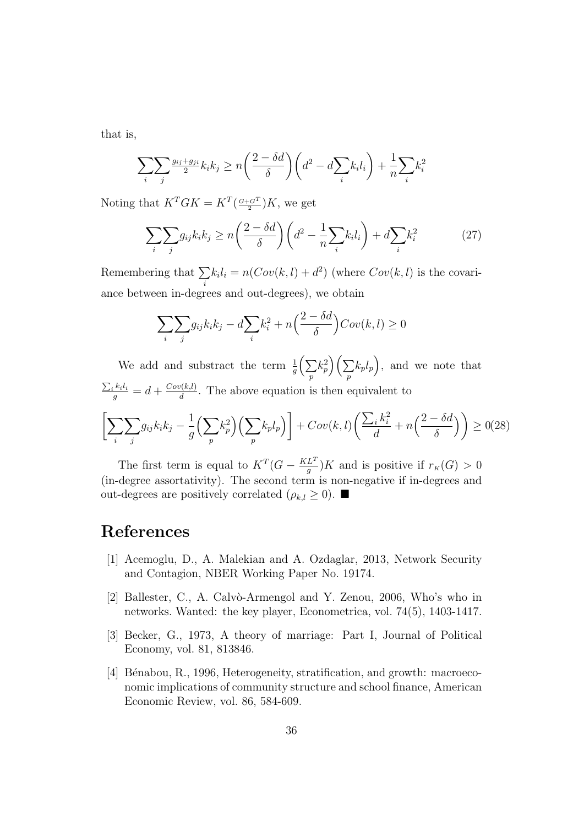that is,

$$
\sum_{i} \sum_{j} \frac{g_{ij} + g_{ji}}{2} k_i k_j \ge n \left( \frac{2 - \delta d}{\delta} \right) \left( d^2 - d \sum_{i} k_i l_i \right) + \frac{1}{n} \sum_{i} k_i^2
$$

Noting that  $K^T G K = K^T \left( \frac{G + G^T}{2} \right) K$ , we get

$$
\sum_{i} \sum_{j} g_{ij} k_i k_j \ge n \left(\frac{2 - \delta d}{\delta}\right) \left(d^2 - \frac{1}{n} \sum_{i} k_i l_i\right) + d \sum_{i} k_i^2 \tag{27}
$$

Remembering that  $\Sigma$ i  $k<sub>i</sub>l<sub>i</sub> = n(Cov(k, l) + d<sup>2</sup>)$  (where  $Cov(k, l)$  is the covariance between in-degrees and out-degrees), we obtain

$$
\sum_{i} \sum_{j} g_{ij} k_i k_j - d \sum_{i} k_i^2 + n \left( \frac{2 - \delta d}{\delta} \right) Cov(k, l) \ge 0
$$

We add and substract the term  $\frac{1}{g}(\sum$ p  $k_p^2\Big)\Big(\sum$ p  $(k_p l_p)$ , and we note that  $\frac{\sum_i k_i l_i}{g} = d + \frac{Cov(k,l)}{d}$  $\frac{\partial (k,l)}{d}$ . The above equation is then equivalent to

$$
\left[\sum_{i}\sum_{j}g_{ij}k_{i}k_{j} - \frac{1}{g}\left(\sum_{p}k_{p}^{2}\right)\left(\sum_{p}k_{p}l_{p}\right)\right] + Cov(k,l)\left(\frac{\sum_{i}k_{i}^{2}}{d} + n\left(\frac{2-\delta d}{\delta}\right)\right) \geq 0(28)
$$

The first term is equal to  $K^T(G - \frac{KL^T}{a})$  $\frac{L}{g}$ ) K and is positive if  $r_K(G) > 0$ (in-degree assortativity). The second term is non-negative if in-degrees and out-degrees are positively correlated  $(\rho_{k,l} \geq 0)$ .

## References

- [1] Acemoglu, D., A. Malekian and A. Ozdaglar, 2013, Network Security and Contagion, NBER Working Paper No. 19174.
- [2] Ballester, C., A. Calvò-Armengol and Y. Zenou, 2006, Who's who in networks. Wanted: the key player, Econometrica, vol. 74(5), 1403-1417.
- [3] Becker, G., 1973, A theory of marriage: Part I, Journal of Political Economy, vol. 81, 813846.
- [4] Bénabou, R., 1996, Heterogeneity, stratification, and growth: macroeconomic implications of community structure and school finance, American Economic Review, vol. 86, 584-609.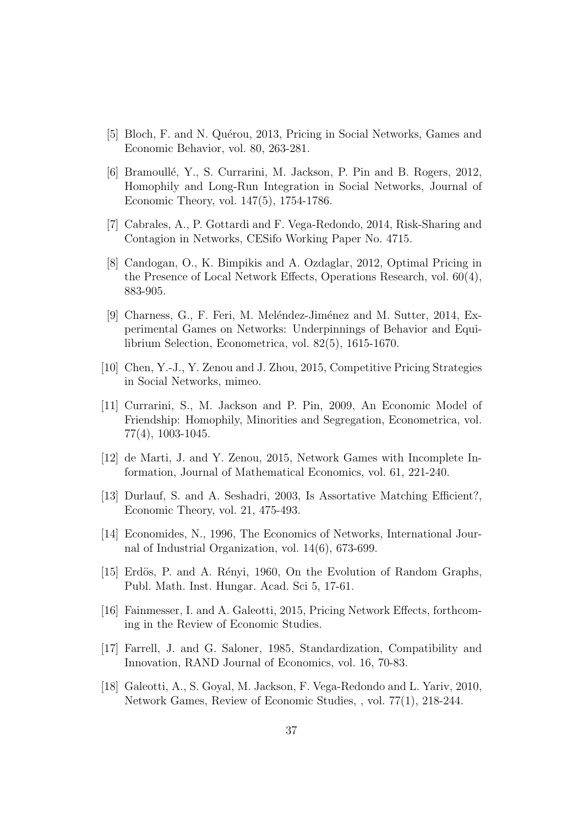- [5] Bloch, F. and N. Quérou, 2013, Pricing in Social Networks, Games and Economic Behavior, vol. 80, 263-281.
- [6] Bramoullé, Y., S. Currarini, M. Jackson, P. Pin and B. Rogers, 2012, Homophily and Long-Run Integration in Social Networks, Journal of Economic Theory, vol. 147(5), 1754-1786.
- [7] Cabrales, A., P. Gottardi and F. Vega-Redondo, 2014, Risk-Sharing and Contagion in Networks, CESifo Working Paper No. 4715.
- [8] Candogan, O., K. Bimpikis and A. Ozdaglar, 2012, Optimal Pricing in the Presence of Local Network Effects, Operations Research, vol. 60(4), 883-905.
- [9] Charness, G., F. Feri, M. Meléndez-Jiménez and M. Sutter, 2014, Experimental Games on Networks: Underpinnings of Behavior and Equilibrium Selection, Econometrica, vol. 82(5), 1615-1670.
- [10] Chen, Y.-J., Y. Zenou and J. Zhou, 2015, Competitive Pricing Strategies in Social Networks, mimeo.
- [11] Currarini, S., M. Jackson and P. Pin, 2009, An Economic Model of Friendship: Homophily, Minorities and Segregation, Econometrica, vol. 77(4), 1003-1045.
- [12] de Marti, J. and Y. Zenou, 2015, Network Games with Incomplete Information, Journal of Mathematical Economics, vol. 61, 221-240.
- [13] Durlauf, S. and A. Seshadri, 2003, Is Assortative Matching Efficient?, Economic Theory, vol. 21, 475-493.
- [14] Economides, N., 1996, The Economics of Networks, International Journal of Industrial Organization, vol. 14(6), 673-699.
- [15] Erdös, P. and A. Rényi, 1960, On the Evolution of Random Graphs, Publ. Math. Inst. Hungar. Acad. Sci 5, 17-61.
- [16] Fainmesser, I. and A. Galeotti, 2015, Pricing Network Effects, forthcoming in the Review of Economic Studies.
- [17] Farrell, J. and G. Saloner, 1985, Standardization, Compatibility and Innovation, RAND Journal of Economics, vol. 16, 70-83.
- [18] Galeotti, A., S. Goyal, M. Jackson, F. Vega-Redondo and L. Yariv, 2010, Network Games, Review of Economic Studies, , vol. 77(1), 218-244.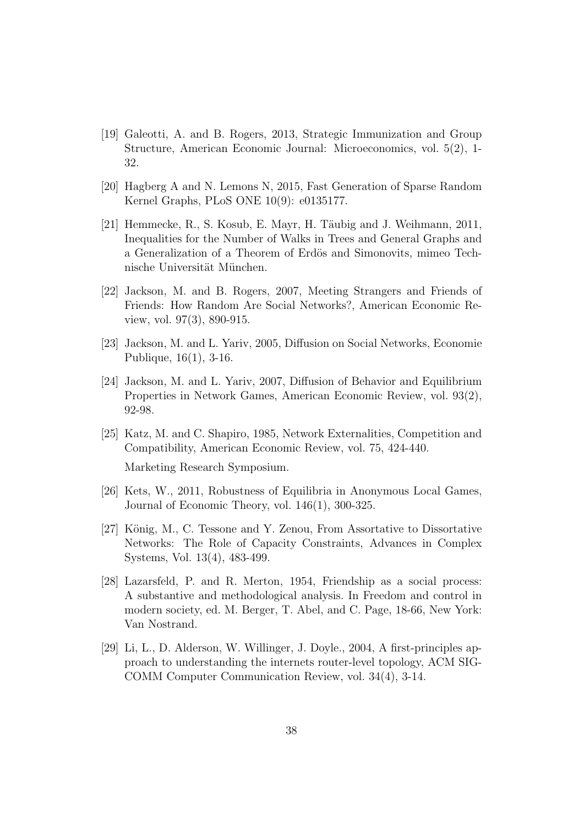- [19] Galeotti, A. and B. Rogers, 2013, Strategic Immunization and Group Structure, American Economic Journal: Microeconomics, vol. 5(2), 1- 32.
- [20] Hagberg A and N. Lemons N, 2015, Fast Generation of Sparse Random Kernel Graphs, PLoS ONE 10(9): e0135177.
- [21] Hemmecke, R., S. Kosub, E. Mayr, H. Täubig and J. Weihmann,  $2011$ , Inequalities for the Number of Walks in Trees and General Graphs and a Generalization of a Theorem of Erdös and Simonovits, mimeo Technische Universität München.
- [22] Jackson, M. and B. Rogers, 2007, Meeting Strangers and Friends of Friends: How Random Are Social Networks?, American Economic Review, vol. 97(3), 890-915.
- [23] Jackson, M. and L. Yariv, 2005, Diffusion on Social Networks, Economie Publique, 16(1), 3-16.
- [24] Jackson, M. and L. Yariv, 2007, Diffusion of Behavior and Equilibrium Properties in Network Games, American Economic Review, vol. 93(2), 92-98.
- [25] Katz, M. and C. Shapiro, 1985, Network Externalities, Competition and Compatibility, American Economic Review, vol. 75, 424-440.

Marketing Research Symposium.

- [26] Kets, W., 2011, Robustness of Equilibria in Anonymous Local Games, Journal of Economic Theory, vol. 146(1), 300-325.
- [27] König, M., C. Tessone and Y. Zenou, From Assortative to Dissortative Networks: The Role of Capacity Constraints, Advances in Complex Systems, Vol. 13(4), 483-499.
- [28] Lazarsfeld, P. and R. Merton, 1954, Friendship as a social process: A substantive and methodological analysis. In Freedom and control in modern society, ed. M. Berger, T. Abel, and C. Page, 18-66, New York: Van Nostrand.
- [29] Li, L., D. Alderson, W. Willinger, J. Doyle., 2004, A first-principles approach to understanding the internets router-level topology, ACM SIG-COMM Computer Communication Review, vol. 34(4), 3-14.